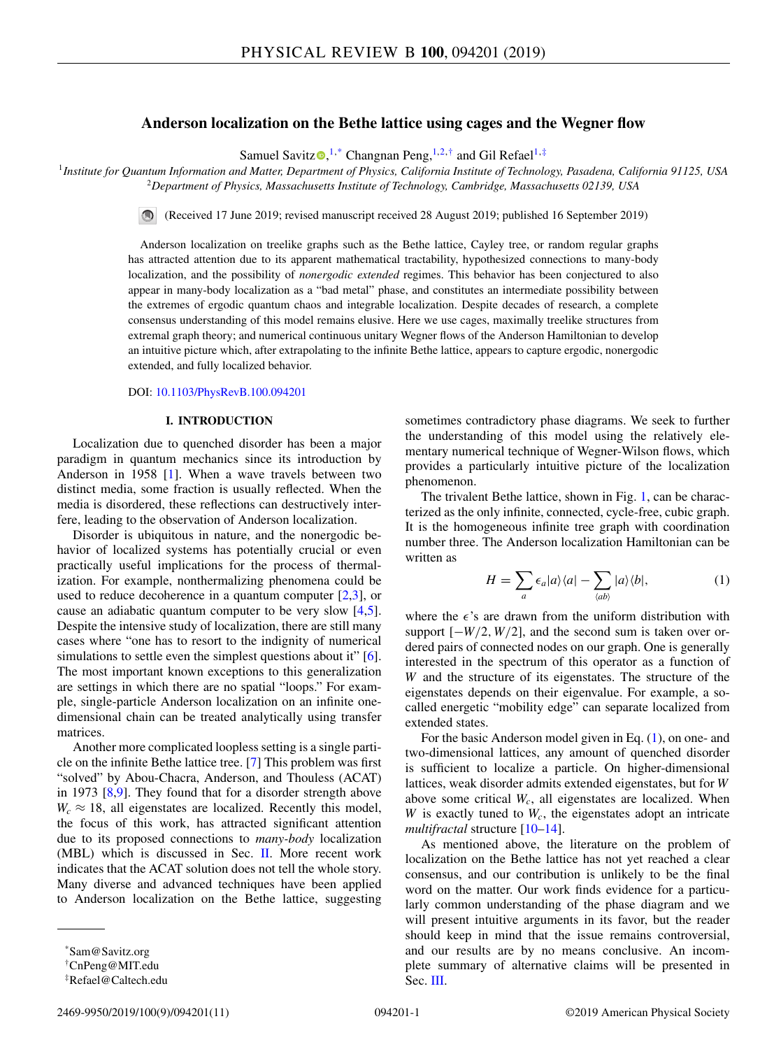# **Anderson localization on the Bethe lattice using cages and the Wegner flow**

Samuel Savit[z](https://orcid.org/0000-0003-2112-3758)  $\mathbf{Q},^{1,*}$  Changnan Peng,  $^{1,2,*}$  and Gil Refael<sup>1,‡</sup>

<sup>1</sup>*Institute for Quantum Information and Matter, Department of Physics, California Institute of Technology, Pasadena, California 91125, USA* <sup>2</sup>*Department of Physics, Massachusetts Institute of Technology, Cambridge, Massachusetts 02139, USA*

(Received 17 June 2019; revised manuscript received 28 August 2019; published 16 September 2019)

Anderson localization on treelike graphs such as the Bethe lattice, Cayley tree, or random regular graphs has attracted attention due to its apparent mathematical tractability, hypothesized connections to many-body localization, and the possibility of *nonergodic extended* regimes. This behavior has been conjectured to also appear in many-body localization as a "bad metal" phase, and constitutes an intermediate possibility between the extremes of ergodic quantum chaos and integrable localization. Despite decades of research, a complete consensus understanding of this model remains elusive. Here we use cages, maximally treelike structures from extremal graph theory; and numerical continuous unitary Wegner flows of the Anderson Hamiltonian to develop an intuitive picture which, after extrapolating to the infinite Bethe lattice, appears to capture ergodic, nonergodic extended, and fully localized behavior.

## DOI: [10.1103/PhysRevB.100.094201](https://doi.org/10.1103/PhysRevB.100.094201)

### **I. INTRODUCTION**

Localization due to quenched disorder has been a major paradigm in quantum mechanics since its introduction by Anderson in 1958 [\[1\]](#page-8-0). When a wave travels between two distinct media, some fraction is usually reflected. When the media is disordered, these reflections can destructively interfere, leading to the observation of Anderson localization.

Disorder is ubiquitous in nature, and the nonergodic behavior of localized systems has potentially crucial or even practically useful implications for the process of thermalization. For example, nonthermalizing phenomena could be used to reduce decoherence in a quantum computer  $[2,3]$ , or cause an adiabatic quantum computer to be very slow [\[4,5\]](#page-8-0). Despite the intensive study of localization, there are still many cases where "one has to resort to the indignity of numerical simulations to settle even the simplest questions about it" [\[6\]](#page-8-0). The most important known exceptions to this generalization are settings in which there are no spatial "loops." For example, single-particle Anderson localization on an infinite onedimensional chain can be treated analytically using transfer matrices.

Another more complicated loopless setting is a single particle on the infinite Bethe lattice tree. [\[7\]](#page-8-0) This problem was first "solved" by Abou-Chacra, Anderson, and Thouless (ACAT) in 1973 [\[8,9\]](#page-8-0). They found that for a disorder strength above  $W_c \approx 18$ , all eigenstates are localized. Recently this model, the focus of this work, has attracted significant attention due to its proposed connections to *many-body* localization (MBL) which is discussed in Sec. [II.](#page-1-0) More recent work indicates that the ACAT solution does not tell the whole story. Many diverse and advanced techniques have been applied to Anderson localization on the Bethe lattice, suggesting

sometimes contradictory phase diagrams. We seek to further the understanding of this model using the relatively elementary numerical technique of Wegner-Wilson flows, which provides a particularly intuitive picture of the localization phenomenon.

The trivalent Bethe lattice, shown in Fig. [1,](#page-1-0) can be characterized as the only infinite, connected, cycle-free, cubic graph. It is the homogeneous infinite tree graph with coordination number three. The Anderson localization Hamiltonian can be written as

$$
H = \sum_{a} \epsilon_{a} |a\rangle\langle a| - \sum_{\langle ab \rangle} |a\rangle\langle b|, \tag{1}
$$

where the  $\epsilon$ 's are drawn from the uniform distribution with support [−*W*/2, *W*/2], and the second sum is taken over ordered pairs of connected nodes on our graph. One is generally interested in the spectrum of this operator as a function of *W* and the structure of its eigenstates. The structure of the eigenstates depends on their eigenvalue. For example, a socalled energetic "mobility edge" can separate localized from extended states.

For the basic Anderson model given in Eq. (1), on one- and two-dimensional lattices, any amount of quenched disorder is sufficient to localize a particle. On higher-dimensional lattices, weak disorder admits extended eigenstates, but for *W* above some critical  $W_c$ , all eigenstates are localized. When *W* is exactly tuned to  $W_c$ , the eigenstates adopt an intricate *multifractal* structure [\[10–14\]](#page-8-0).

As mentioned above, the literature on the problem of localization on the Bethe lattice has not yet reached a clear consensus, and our contribution is unlikely to be the final word on the matter. Our work finds evidence for a particularly common understanding of the phase diagram and we will present intuitive arguments in its favor, but the reader should keep in mind that the issue remains controversial, and our results are by no means conclusive. An incomplete summary of alternative claims will be presented in Sec. [III.](#page-2-0)

<sup>\*</sup>Sam@Savitz.org

<sup>†</sup>CnPeng@MIT.edu

<sup>‡</sup>Refael@Caltech.edu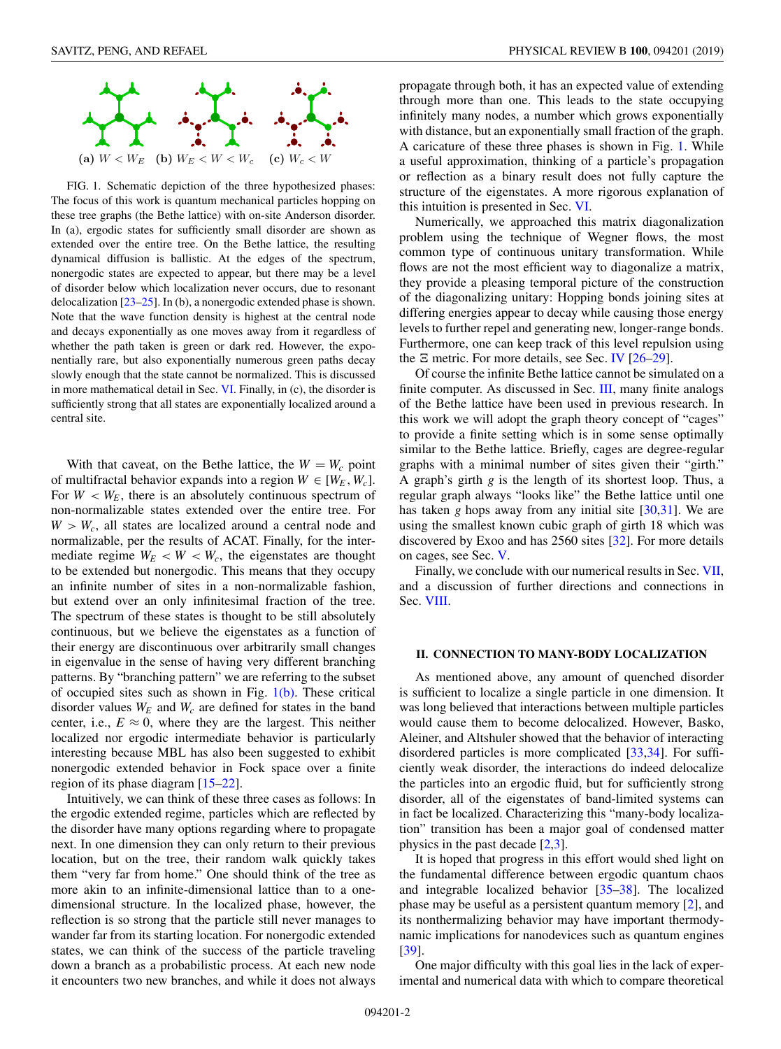<span id="page-1-0"></span>

FIG. 1. Schematic depiction of the three hypothesized phases: The focus of this work is quantum mechanical particles hopping on these tree graphs (the Bethe lattice) with on-site Anderson disorder. In (a), ergodic states for sufficiently small disorder are shown as extended over the entire tree. On the Bethe lattice, the resulting dynamical diffusion is ballistic. At the edges of the spectrum, nonergodic states are expected to appear, but there may be a level of disorder below which localization never occurs, due to resonant delocalization [\[23–25\]](#page-8-0). In (b), a nonergodic extended phase is shown. Note that the wave function density is highest at the central node and decays exponentially as one moves away from it regardless of whether the path taken is green or dark red. However, the exponentially rare, but also exponentially numerous green paths decay slowly enough that the state cannot be normalized. This is discussed in more mathematical detail in Sec. [VI.](#page-4-0) Finally, in (c), the disorder is sufficiently strong that all states are exponentially localized around a central site.

With that caveat, on the Bethe lattice, the  $W = W_c$  point of multifractal behavior expands into a region  $W \in [W_E, W_c]$ . For  $W < W_E$ , there is an absolutely continuous spectrum of non-normalizable states extended over the entire tree. For  $W > W_c$ , all states are localized around a central node and normalizable, per the results of ACAT. Finally, for the intermediate regime  $W_E < W < W_c$ , the eigenstates are thought to be extended but nonergodic. This means that they occupy an infinite number of sites in a non-normalizable fashion, but extend over an only infinitesimal fraction of the tree. The spectrum of these states is thought to be still absolutely continuous, but we believe the eigenstates as a function of their energy are discontinuous over arbitrarily small changes in eigenvalue in the sense of having very different branching patterns. By "branching pattern" we are referring to the subset of occupied sites such as shown in Fig.  $1(b)$ . These critical disorder values  $W_E$  and  $W_c$  are defined for states in the band center, i.e.,  $E \approx 0$ , where they are the largest. This neither localized nor ergodic intermediate behavior is particularly interesting because MBL has also been suggested to exhibit nonergodic extended behavior in Fock space over a finite region of its phase diagram [\[15–22\]](#page-8-0).

Intuitively, we can think of these three cases as follows: In the ergodic extended regime, particles which are reflected by the disorder have many options regarding where to propagate next. In one dimension they can only return to their previous location, but on the tree, their random walk quickly takes them "very far from home." One should think of the tree as more akin to an infinite-dimensional lattice than to a onedimensional structure. In the localized phase, however, the reflection is so strong that the particle still never manages to wander far from its starting location. For nonergodic extended states, we can think of the success of the particle traveling down a branch as a probabilistic process. At each new node it encounters two new branches, and while it does not always

propagate through both, it has an expected value of extending through more than one. This leads to the state occupying infinitely many nodes, a number which grows exponentially with distance, but an exponentially small fraction of the graph. A caricature of these three phases is shown in Fig. 1. While a useful approximation, thinking of a particle's propagation or reflection as a binary result does not fully capture the structure of the eigenstates. A more rigorous explanation of this intuition is presented in Sec. [VI.](#page-4-0)

Numerically, we approached this matrix diagonalization problem using the technique of Wegner flows, the most common type of continuous unitary transformation. While flows are not the most efficient way to diagonalize a matrix, they provide a pleasing temporal picture of the construction of the diagonalizing unitary: Hopping bonds joining sites at differing energies appear to decay while causing those energy levels to further repel and generating new, longer-range bonds. Furthermore, one can keep track of this level repulsion using the  $\Xi$  metric. For more details, see Sec. [IV](#page-3-0)  $[26-29]$ .

Of course the infinite Bethe lattice cannot be simulated on a finite computer. As discussed in Sec. [III,](#page-2-0) many finite analogs of the Bethe lattice have been used in previous research. In this work we will adopt the graph theory concept of "cages" to provide a finite setting which is in some sense optimally similar to the Bethe lattice. Briefly, cages are degree-regular graphs with a minimal number of sites given their "girth." A graph's girth *g* is the length of its shortest loop. Thus, a regular graph always "looks like" the Bethe lattice until one has taken *g* hops away from any initial site [\[30,](#page-8-0)[31\]](#page-9-0). We are using the smallest known cubic graph of girth 18 which was discovered by Exoo and has 2560 sites [\[32\]](#page-9-0). For more details on cages, see Sec. [V.](#page-4-0)

Finally, we conclude with our numerical results in Sec. [VII,](#page-6-0) and a discussion of further directions and connections in Sec. [VIII.](#page-7-0)

### **II. CONNECTION TO MANY-BODY LOCALIZATION**

As mentioned above, any amount of quenched disorder is sufficient to localize a single particle in one dimension. It was long believed that interactions between multiple particles would cause them to become delocalized. However, Basko, Aleiner, and Altshuler showed that the behavior of interacting disordered particles is more complicated [\[33,34\]](#page-9-0). For sufficiently weak disorder, the interactions do indeed delocalize the particles into an ergodic fluid, but for sufficiently strong disorder, all of the eigenstates of band-limited systems can in fact be localized. Characterizing this "many-body localization" transition has been a major goal of condensed matter physics in the past decade [\[2,3\]](#page-8-0).

It is hoped that progress in this effort would shed light on the fundamental difference between ergodic quantum chaos and integrable localized behavior [\[35–38\]](#page-9-0). The localized phase may be useful as a persistent quantum memory [\[2\]](#page-8-0), and its nonthermalizing behavior may have important thermodynamic implications for nanodevices such as quantum engines [\[39\]](#page-9-0).

One major difficulty with this goal lies in the lack of experimental and numerical data with which to compare theoretical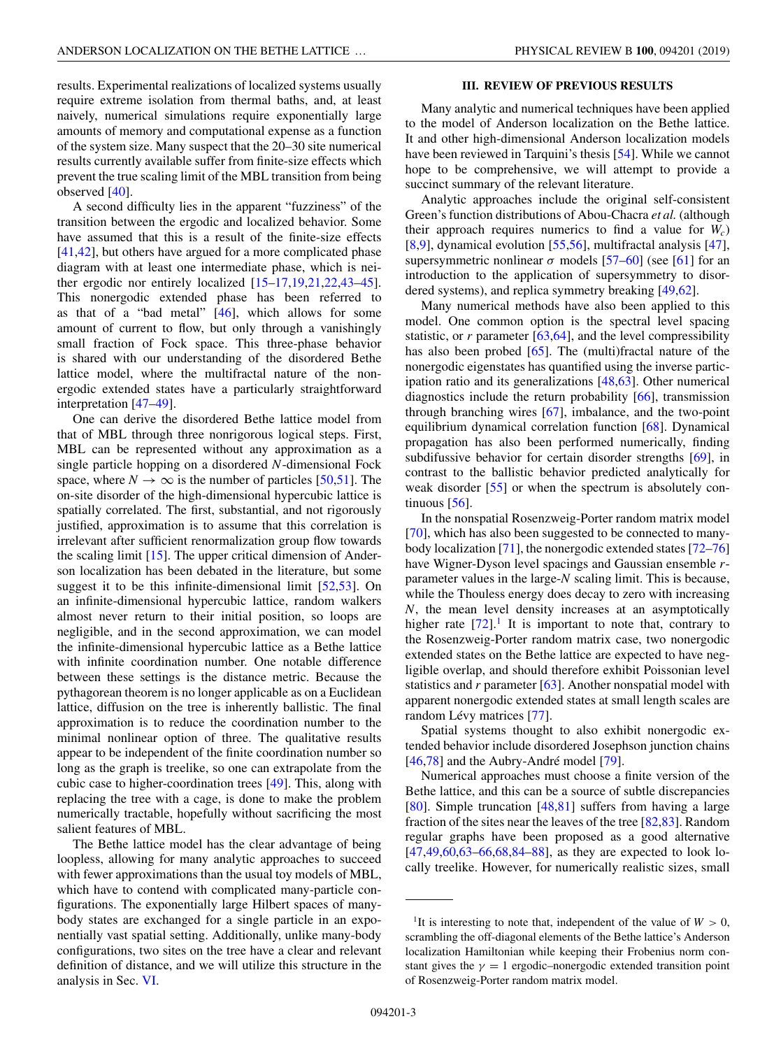<span id="page-2-0"></span>results. Experimental realizations of localized systems usually require extreme isolation from thermal baths, and, at least naively, numerical simulations require exponentially large amounts of memory and computational expense as a function of the system size. Many suspect that the 20–30 site numerical results currently available suffer from finite-size effects which prevent the true scaling limit of the MBL transition from being observed [\[40\]](#page-9-0).

A second difficulty lies in the apparent "fuzziness" of the transition between the ergodic and localized behavior. Some have assumed that this is a result of the finite-size effects [\[41,42\]](#page-9-0), but others have argued for a more complicated phase diagram with at least one intermediate phase, which is neither ergodic nor entirely localized [\[15–17,19,21,22](#page-8-0)[,43–45\]](#page-9-0). This nonergodic extended phase has been referred to as that of a "bad metal"  $[46]$ , which allows for some amount of current to flow, but only through a vanishingly small fraction of Fock space. This three-phase behavior is shared with our understanding of the disordered Bethe lattice model, where the multifractal nature of the nonergodic extended states have a particularly straightforward interpretation [\[47–49\]](#page-9-0).

One can derive the disordered Bethe lattice model from that of MBL through three nonrigorous logical steps. First, MBL can be represented without any approximation as a single particle hopping on a disordered *N*-dimensional Fock space, where  $N \to \infty$  is the number of particles [\[50,51\]](#page-9-0). The on-site disorder of the high-dimensional hypercubic lattice is spatially correlated. The first, substantial, and not rigorously justified, approximation is to assume that this correlation is irrelevant after sufficient renormalization group flow towards the scaling limit [\[15\]](#page-8-0). The upper critical dimension of Anderson localization has been debated in the literature, but some suggest it to be this infinite-dimensional limit [\[52,53\]](#page-9-0). On an infinite-dimensional hypercubic lattice, random walkers almost never return to their initial position, so loops are negligible, and in the second approximation, we can model the infinite-dimensional hypercubic lattice as a Bethe lattice with infinite coordination number. One notable difference between these settings is the distance metric. Because the pythagorean theorem is no longer applicable as on a Euclidean lattice, diffusion on the tree is inherently ballistic. The final approximation is to reduce the coordination number to the minimal nonlinear option of three. The qualitative results appear to be independent of the finite coordination number so long as the graph is treelike, so one can extrapolate from the cubic case to higher-coordination trees [\[49\]](#page-9-0). This, along with replacing the tree with a cage, is done to make the problem numerically tractable, hopefully without sacrificing the most salient features of MBL.

The Bethe lattice model has the clear advantage of being loopless, allowing for many analytic approaches to succeed with fewer approximations than the usual toy models of MBL, which have to contend with complicated many-particle configurations. The exponentially large Hilbert spaces of manybody states are exchanged for a single particle in an exponentially vast spatial setting. Additionally, unlike many-body configurations, two sites on the tree have a clear and relevant definition of distance, and we will utilize this structure in the analysis in Sec. [VI.](#page-4-0)

### **III. REVIEW OF PREVIOUS RESULTS**

Many analytic and numerical techniques have been applied to the model of Anderson localization on the Bethe lattice. It and other high-dimensional Anderson localization models have been reviewed in Tarquini's thesis [\[54\]](#page-9-0). While we cannot hope to be comprehensive, we will attempt to provide a succinct summary of the relevant literature.

Analytic approaches include the original self-consistent Green's function distributions of Abou-Chacra *et al.* (although their approach requires numerics to find a value for  $W_c$ ) [\[8,9\]](#page-8-0), dynamical evolution [\[55,56\]](#page-9-0), multifractal analysis [\[47\]](#page-9-0), supersymmetric nonlinear  $\sigma$  models [\[57–60\]](#page-9-0) (see [\[61\]](#page-9-0) for an introduction to the application of supersymmetry to disordered systems), and replica symmetry breaking [\[49,62\]](#page-9-0).

Many numerical methods have also been applied to this model. One common option is the spectral level spacing statistic, or *r* parameter [\[63,64\]](#page-9-0), and the level compressibility has also been probed [\[65\]](#page-9-0). The (multi)fractal nature of the nonergodic eigenstates has quantified using the inverse participation ratio and its generalizations [\[48,63\]](#page-9-0). Other numerical diagnostics include the return probability [\[66\]](#page-9-0), transmission through branching wires [\[67\]](#page-9-0), imbalance, and the two-point equilibrium dynamical correlation function [\[68\]](#page-9-0). Dynamical propagation has also been performed numerically, finding subdifussive behavior for certain disorder strengths [\[69\]](#page-9-0), in contrast to the ballistic behavior predicted analytically for weak disorder [\[55\]](#page-9-0) or when the spectrum is absolutely continuous  $[56]$ .

In the nonspatial Rosenzweig-Porter random matrix model [\[70\]](#page-9-0), which has also been suggested to be connected to manybody localization [\[71\]](#page-9-0), the nonergodic extended states [\[72–76\]](#page-9-0) have Wigner-Dyson level spacings and Gaussian ensemble *r*parameter values in the large-*N* scaling limit. This is because, while the Thouless energy does decay to zero with increasing *N*, the mean level density increases at an asymptotically higher rate  $[72]$ <sup>1</sup>. It is important to note that, contrary to the Rosenzweig-Porter random matrix case, two nonergodic extended states on the Bethe lattice are expected to have negligible overlap, and should therefore exhibit Poissonian level statistics and *r* parameter [\[63\]](#page-9-0). Another nonspatial model with apparent nonergodic extended states at small length scales are random Lévy matrices [\[77\]](#page-9-0).

Spatial systems thought to also exhibit nonergodic extended behavior include disordered Josephson junction chains [\[46,78\]](#page-9-0) and the Aubry-André model [\[79\]](#page-9-0).

Numerical approaches must choose a finite version of the Bethe lattice, and this can be a source of subtle discrepancies [\[80\]](#page-9-0). Simple truncation [\[48,81\]](#page-9-0) suffers from having a large fraction of the sites near the leaves of the tree  $[82,83]$ . Random regular graphs have been proposed as a good alternative  $[47,49,60,63-66,68,84-88]$ , as they are expected to look locally treelike. However, for numerically realistic sizes, small

<sup>&</sup>lt;sup>1</sup>It is interesting to note that, independent of the value of  $W > 0$ , scrambling the off-diagonal elements of the Bethe lattice's Anderson localization Hamiltonian while keeping their Frobenius norm constant gives the  $\gamma = 1$  ergodic–nonergodic extended transition point of Rosenzweig-Porter random matrix model.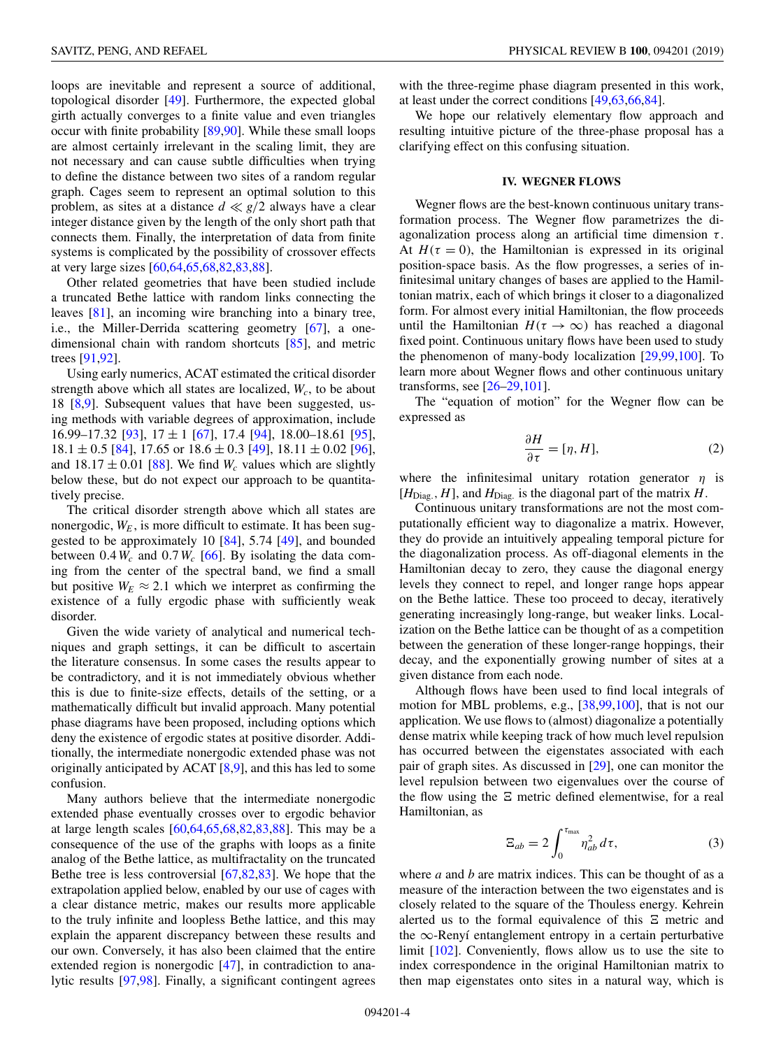<span id="page-3-0"></span>loops are inevitable and represent a source of additional, topological disorder [\[49\]](#page-9-0). Furthermore, the expected global girth actually converges to a finite value and even triangles occur with finite probability [\[89,90\]](#page-9-0). While these small loops are almost certainly irrelevant in the scaling limit, they are not necessary and can cause subtle difficulties when trying to define the distance between two sites of a random regular graph. Cages seem to represent an optimal solution to this problem, as sites at a distance  $d \ll g/2$  always have a clear integer distance given by the length of the only short path that connects them. Finally, the interpretation of data from finite systems is complicated by the possibility of crossover effects at very large sizes [\[60,64,65,68,82,83,88\]](#page-9-0).

Other related geometries that have been studied include a truncated Bethe lattice with random links connecting the leaves [\[81\]](#page-9-0), an incoming wire branching into a binary tree, i.e., the Miller-Derrida scattering geometry [\[67\]](#page-9-0), a onedimensional chain with random shortcuts [\[85\]](#page-9-0), and metric trees [\[91,92\]](#page-9-0).

Using early numerics, ACAT estimated the critical disorder strength above which all states are localized,  $W_c$ , to be about 18 [\[8,9\]](#page-8-0). Subsequent values that have been suggested, using methods with variable degrees of approximation, include 16.99–17.32 [\[93\]](#page-9-0),  $17 \pm 1$  [\[67\]](#page-9-0), 17.4 [\[94\]](#page-9-0), 18.00–18.61 [\[95\]](#page-9-0),  $18.1 \pm 0.5$  [\[84\]](#page-9-0), 17.65 or  $18.6 \pm 0.3$  [\[49\]](#page-9-0),  $18.11 \pm 0.02$  [\[96\]](#page-9-0), and  $18.17 \pm 0.01$  [\[88\]](#page-9-0). We find  $W_c$  values which are slightly below these, but do not expect our approach to be quantitatively precise.

The critical disorder strength above which all states are nonergodic,  $W_E$ , is more difficult to estimate. It has been suggested to be approximately 10 [\[84\]](#page-9-0), 5.74 [\[49\]](#page-9-0), and bounded between  $0.4W_c$  and  $0.7W_c$  [\[66\]](#page-9-0). By isolating the data coming from the center of the spectral band, we find a small but positive  $W_F \approx 2.1$  which we interpret as confirming the existence of a fully ergodic phase with sufficiently weak disorder.

Given the wide variety of analytical and numerical techniques and graph settings, it can be difficult to ascertain the literature consensus. In some cases the results appear to be contradictory, and it is not immediately obvious whether this is due to finite-size effects, details of the setting, or a mathematically difficult but invalid approach. Many potential phase diagrams have been proposed, including options which deny the existence of ergodic states at positive disorder. Additionally, the intermediate nonergodic extended phase was not originally anticipated by ACAT [\[8,9\]](#page-8-0), and this has led to some confusion.

Many authors believe that the intermediate nonergodic extended phase eventually crosses over to ergodic behavior at large length scales [\[60,64,65,68,82,83,88\]](#page-9-0). This may be a consequence of the use of the graphs with loops as a finite analog of the Bethe lattice, as multifractality on the truncated Bethe tree is less controversial [\[67,82,83\]](#page-9-0). We hope that the extrapolation applied below, enabled by our use of cages with a clear distance metric, makes our results more applicable to the truly infinite and loopless Bethe lattice, and this may explain the apparent discrepancy between these results and our own. Conversely, it has also been claimed that the entire extended region is nonergodic [\[47\]](#page-9-0), in contradiction to analytic results [\[97,98\]](#page-9-0). Finally, a significant contingent agrees

with the three-regime phase diagram presented in this work, at least under the correct conditions [\[49,63,66,84\]](#page-9-0).

We hope our relatively elementary flow approach and resulting intuitive picture of the three-phase proposal has a clarifying effect on this confusing situation.

### **IV. WEGNER FLOWS**

Wegner flows are the best-known continuous unitary transformation process. The Wegner flow parametrizes the diagonalization process along an artificial time dimension  $\tau$ . At  $H(\tau = 0)$ , the Hamiltonian is expressed in its original position-space basis. As the flow progresses, a series of infinitesimal unitary changes of bases are applied to the Hamiltonian matrix, each of which brings it closer to a diagonalized form. For almost every initial Hamiltonian, the flow proceeds until the Hamiltonian  $H(\tau \to \infty)$  has reached a diagonal fixed point. Continuous unitary flows have been used to study the phenomenon of many-body localization [\[29](#page-8-0)[,99,100\]](#page-9-0). To learn more about Wegner flows and other continuous unitary transforms, see [\[26–29,](#page-8-0)[101\]](#page-9-0).

The "equation of motion" for the Wegner flow can be expressed as

$$
\frac{\partial H}{\partial \tau} = [\eta, H],\tag{2}
$$

where the infinitesimal unitary rotation generator  $\eta$  is  $[H<sub>Diag</sub>, H]$ , and  $H<sub>Diag</sub>$  is the diagonal part of the matrix *H*.

Continuous unitary transformations are not the most computationally efficient way to diagonalize a matrix. However, they do provide an intuitively appealing temporal picture for the diagonalization process. As off-diagonal elements in the Hamiltonian decay to zero, they cause the diagonal energy levels they connect to repel, and longer range hops appear on the Bethe lattice. These too proceed to decay, iteratively generating increasingly long-range, but weaker links. Localization on the Bethe lattice can be thought of as a competition between the generation of these longer-range hoppings, their decay, and the exponentially growing number of sites at a given distance from each node.

Although flows have been used to find local integrals of motion for MBL problems, e.g., [\[38,99,100\]](#page-9-0), that is not our application. We use flows to (almost) diagonalize a potentially dense matrix while keeping track of how much level repulsion has occurred between the eigenstates associated with each pair of graph sites. As discussed in [\[29\]](#page-8-0), one can monitor the level repulsion between two eigenvalues over the course of the flow using the  $\Xi$  metric defined elementwise, for a real Hamiltonian, as

$$
\Xi_{ab} = 2 \int_0^{\tau_{\text{max}}} \eta_{ab}^2 d\tau, \qquad (3)
$$

where *a* and *b* are matrix indices. This can be thought of as a measure of the interaction between the two eigenstates and is closely related to the square of the Thouless energy. Kehrein alerted us to the formal equivalence of this  $\Xi$  metric and the ∞-Renyí entanglement entropy in a certain perturbative limit [\[102\]](#page-9-0). Conveniently, flows allow us to use the site to index correspondence in the original Hamiltonian matrix to then map eigenstates onto sites in a natural way, which is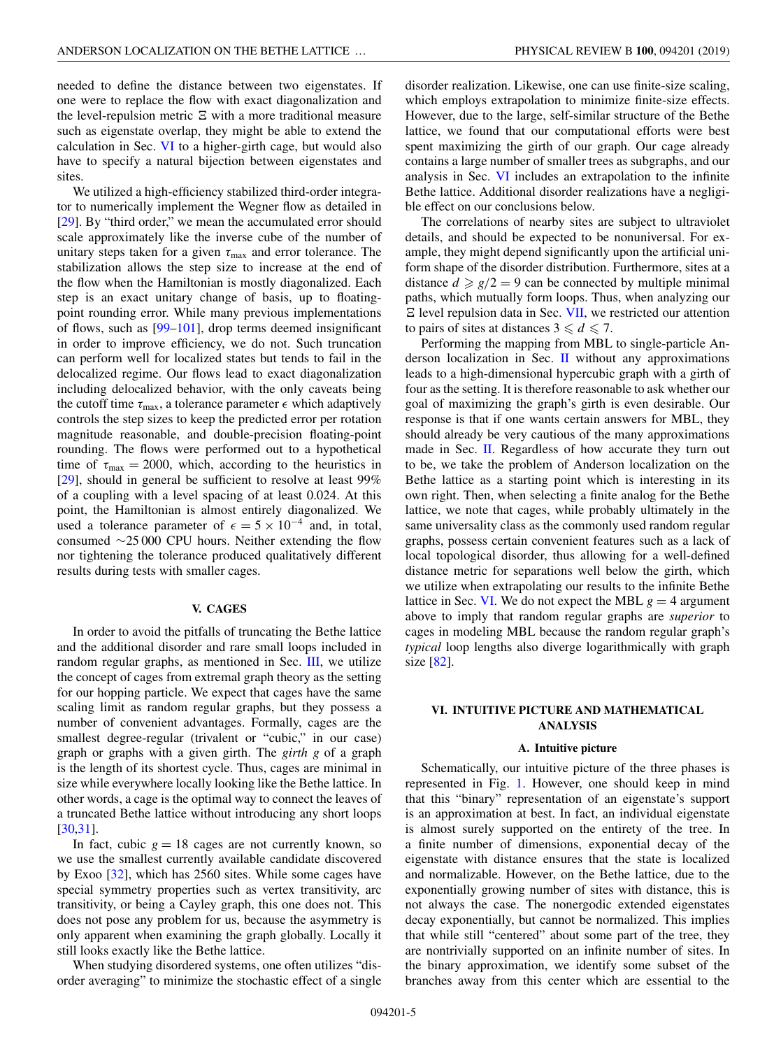<span id="page-4-0"></span>needed to define the distance between two eigenstates. If one were to replace the flow with exact diagonalization and the level-repulsion metric  $\Xi$  with a more traditional measure such as eigenstate overlap, they might be able to extend the calculation in Sec. VI to a higher-girth cage, but would also have to specify a natural bijection between eigenstates and sites.

We utilized a high-efficiency stabilized third-order integrator to numerically implement the Wegner flow as detailed in [\[29\]](#page-8-0). By "third order," we mean the accumulated error should scale approximately like the inverse cube of the number of unitary steps taken for a given  $\tau_{\text{max}}$  and error tolerance. The stabilization allows the step size to increase at the end of the flow when the Hamiltonian is mostly diagonalized. Each step is an exact unitary change of basis, up to floatingpoint rounding error. While many previous implementations of flows, such as [\[99–101\]](#page-9-0), drop terms deemed insignificant in order to improve efficiency, we do not. Such truncation can perform well for localized states but tends to fail in the delocalized regime. Our flows lead to exact diagonalization including delocalized behavior, with the only caveats being the cutoff time  $\tau_{\text{max}}$ , a tolerance parameter  $\epsilon$  which adaptively controls the step sizes to keep the predicted error per rotation magnitude reasonable, and double-precision floating-point rounding. The flows were performed out to a hypothetical time of  $\tau_{\text{max}} = 2000$ , which, according to the heuristics in [\[29\]](#page-8-0), should in general be sufficient to resolve at least 99% of a coupling with a level spacing of at least 0.024. At this point, the Hamiltonian is almost entirely diagonalized. We used a tolerance parameter of  $\epsilon = 5 \times 10^{-4}$  and, in total, consumed ∼25 000 CPU hours. Neither extending the flow nor tightening the tolerance produced qualitatively different results during tests with smaller cages.

## **V. CAGES**

In order to avoid the pitfalls of truncating the Bethe lattice and the additional disorder and rare small loops included in random regular graphs, as mentioned in Sec. [III,](#page-2-0) we utilize the concept of cages from extremal graph theory as the setting for our hopping particle. We expect that cages have the same scaling limit as random regular graphs, but they possess a number of convenient advantages. Formally, cages are the smallest degree-regular (trivalent or "cubic," in our case) graph or graphs with a given girth. The *girth g* of a graph is the length of its shortest cycle. Thus, cages are minimal in size while everywhere locally looking like the Bethe lattice. In other words, a cage is the optimal way to connect the leaves of a truncated Bethe lattice without introducing any short loops [\[30](#page-8-0)[,31\]](#page-9-0).

In fact, cubic  $g = 18$  cages are not currently known, so we use the smallest currently available candidate discovered by Exoo [\[32\]](#page-9-0), which has 2560 sites. While some cages have special symmetry properties such as vertex transitivity, arc transitivity, or being a Cayley graph, this one does not. This does not pose any problem for us, because the asymmetry is only apparent when examining the graph globally. Locally it still looks exactly like the Bethe lattice.

When studying disordered systems, one often utilizes "disorder averaging" to minimize the stochastic effect of a single disorder realization. Likewise, one can use finite-size scaling, which employs extrapolation to minimize finite-size effects. However, due to the large, self-similar structure of the Bethe lattice, we found that our computational efforts were best spent maximizing the girth of our graph. Our cage already contains a large number of smaller trees as subgraphs, and our analysis in Sec. VI includes an extrapolation to the infinite Bethe lattice. Additional disorder realizations have a negligible effect on our conclusions below.

The correlations of nearby sites are subject to ultraviolet details, and should be expected to be nonuniversal. For example, they might depend significantly upon the artificial uniform shape of the disorder distribution. Furthermore, sites at a distance  $d \ge g/2 = 9$  can be connected by multiple minimal paths, which mutually form loops. Thus, when analyzing our  $E$  level repulsion data in Sec. [VII,](#page-6-0) we restricted our attention to pairs of sites at distances  $3 \le d \le 7$ .

Performing the mapping from MBL to single-particle Anderson localization in Sec. [II](#page-1-0) without any approximations leads to a high-dimensional hypercubic graph with a girth of four as the setting. It is therefore reasonable to ask whether our goal of maximizing the graph's girth is even desirable. Our response is that if one wants certain answers for MBL, they should already be very cautious of the many approximations made in Sec. [II.](#page-1-0) Regardless of how accurate they turn out to be, we take the problem of Anderson localization on the Bethe lattice as a starting point which is interesting in its own right. Then, when selecting a finite analog for the Bethe lattice, we note that cages, while probably ultimately in the same universality class as the commonly used random regular graphs, possess certain convenient features such as a lack of local topological disorder, thus allowing for a well-defined distance metric for separations well below the girth, which we utilize when extrapolating our results to the infinite Bethe lattice in Sec. VI. We do not expect the MBL  $g = 4$  argument above to imply that random regular graphs are *superior* to cages in modeling MBL because the random regular graph's *typical* loop lengths also diverge logarithmically with graph size  $[82]$ .

## **VI. INTUITIVE PICTURE AND MATHEMATICAL ANALYSIS**

### **A. Intuitive picture**

Schematically, our intuitive picture of the three phases is represented in Fig. [1.](#page-1-0) However, one should keep in mind that this "binary" representation of an eigenstate's support is an approximation at best. In fact, an individual eigenstate is almost surely supported on the entirety of the tree. In a finite number of dimensions, exponential decay of the eigenstate with distance ensures that the state is localized and normalizable. However, on the Bethe lattice, due to the exponentially growing number of sites with distance, this is not always the case. The nonergodic extended eigenstates decay exponentially, but cannot be normalized. This implies that while still "centered" about some part of the tree, they are nontrivially supported on an infinite number of sites. In the binary approximation, we identify some subset of the branches away from this center which are essential to the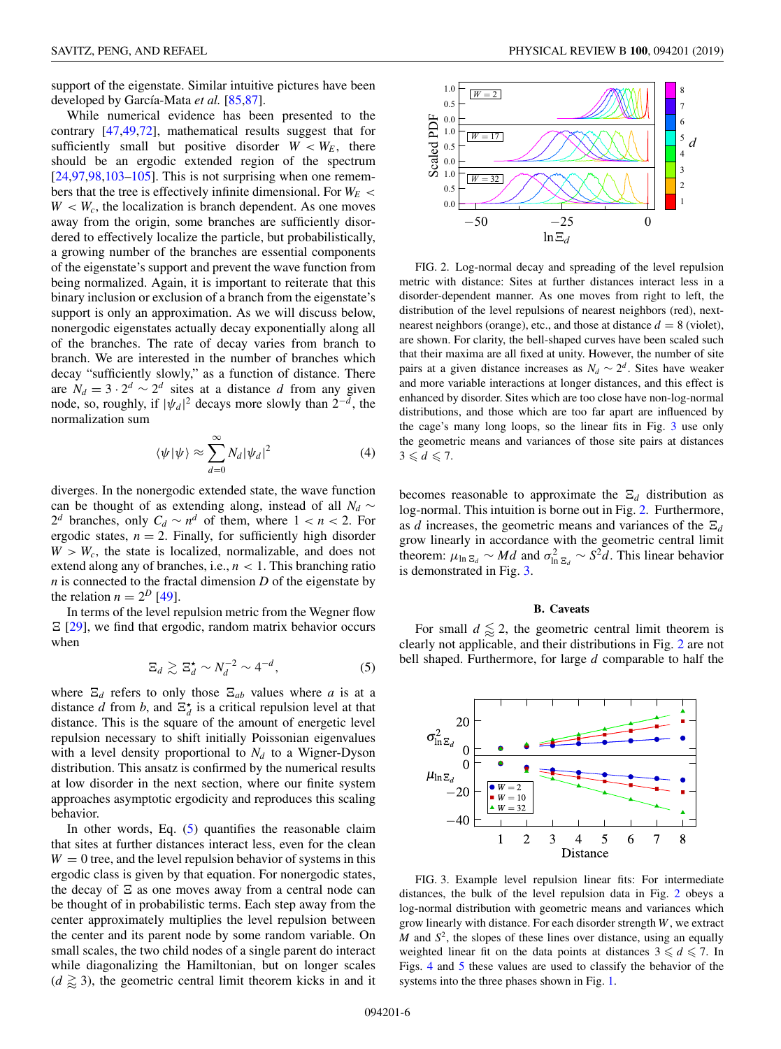<span id="page-5-0"></span>support of the eigenstate. Similar intuitive pictures have been developed by García-Mata *et al.* [\[85,87\]](#page-9-0).

While numerical evidence has been presented to the contrary [\[47,49,72\]](#page-9-0), mathematical results suggest that for sufficiently small but positive disorder  $W < W_E$ , there should be an ergodic extended region of the spectrum  $[24, 97, 98, 103-105]$  $[24, 97, 98, 103-105]$ . This is not surprising when one remembers that the tree is effectively infinite dimensional. For  $W_F$  <  $W < W_c$ , the localization is branch dependent. As one moves away from the origin, some branches are sufficiently disordered to effectively localize the particle, but probabilistically, a growing number of the branches are essential components of the eigenstate's support and prevent the wave function from being normalized. Again, it is important to reiterate that this binary inclusion or exclusion of a branch from the eigenstate's support is only an approximation. As we will discuss below, nonergodic eigenstates actually decay exponentially along all of the branches. The rate of decay varies from branch to branch. We are interested in the number of branches which decay "sufficiently slowly," as a function of distance. There are  $N_d = 3 \cdot 2^d \sim 2^d$  sites at a distance *d* from any given node, so, roughly, if  $|\psi_d|^2$  decays more slowly than  $2^{-d}$ , the normalization sum

$$
\langle \psi | \psi \rangle \approx \sum_{d=0}^{\infty} N_d |\psi_d|^2 \tag{4}
$$

diverges. In the nonergodic extended state, the wave function can be thought of as extending along, instead of all  $N_d \sim$ 2<sup>*d*</sup> branches, only  $C_d \sim n^d$  of them, where  $1 < n < 2$ . For ergodic states,  $n = 2$ . Finally, for sufficiently high disorder  $W > W_c$ , the state is localized, normalizable, and does not extend along any of branches, i.e., *n* < 1. This branching ratio  $n$  is connected to the fractal dimension  $D$  of the eigenstate by the relation  $n = 2^D$  [\[49\]](#page-9-0).

In terms of the level repulsion metric from the Wegner flow  $E$  [\[29\]](#page-8-0), we find that ergodic, random matrix behavior occurs when

$$
\Xi_d \gtrsim \Xi_d^{\star} \sim N_d^{-2} \sim 4^{-d},\tag{5}
$$

where  $\Xi_d$  refers to only those  $\Xi_{ab}$  values where *a* is at a distance *d* from *b*, and  $\Xi_d^*$  is a critical repulsion level at that distance. This is the square of the amount of energetic level repulsion necessary to shift initially Poissonian eigenvalues with a level density proportional to  $N_d$  to a Wigner-Dyson distribution. This ansatz is confirmed by the numerical results at low disorder in the next section, where our finite system approaches asymptotic ergodicity and reproduces this scaling behavior.

In other words, Eq.  $(5)$  quantifies the reasonable claim that sites at further distances interact less, even for the clean  $W = 0$  tree, and the level repulsion behavior of systems in this ergodic class is given by that equation. For nonergodic states, the decay of  $\Xi$  as one moves away from a central node can be thought of in probabilistic terms. Each step away from the center approximately multiplies the level repulsion between the center and its parent node by some random variable. On small scales, the two child nodes of a single parent do interact while diagonalizing the Hamiltonian, but on longer scales  $(d \geq 3)$ , the geometric central limit theorem kicks in and it



FIG. 2. Log-normal decay and spreading of the level repulsion metric with distance: Sites at further distances interact less in a disorder-dependent manner. As one moves from right to left, the distribution of the level repulsions of nearest neighbors (red), nextnearest neighbors (orange), etc., and those at distance  $d = 8$  (violet), are shown. For clarity, the bell-shaped curves have been scaled such that their maxima are all fixed at unity. However, the number of site pairs at a given distance increases as  $N_d \sim 2^d$ . Sites have weaker and more variable interactions at longer distances, and this effect is enhanced by disorder. Sites which are too close have non-log-normal distributions, and those which are too far apart are influenced by the cage's many long loops, so the linear fits in Fig. 3 use only the geometric means and variances of those site pairs at distances  $3 \leqslant d \leqslant 7.$ 

becomes reasonable to approximate the  $\Xi_d$  distribution as log-normal. This intuition is borne out in Fig. 2. Furthermore, as *d* increases, the geometric means and variances of the  $\Xi_d$ grow linearly in accordance with the geometric central limit theorem:  $\mu_{\ln \Xi_d} \sim Md$  and  $\sigma_{\ln \Xi_d}^2 \sim S^2d$ . This linear behavior is demonstrated in Fig. 3.

#### **B. Caveats**

For small  $d \leq 2$ , the geometric central limit theorem is clearly not applicable, and their distributions in Fig. 2 are not bell shaped. Furthermore, for large *d* comparable to half the



FIG. 3. Example level repulsion linear fits: For intermediate distances, the bulk of the level repulsion data in Fig. 2 obeys a log-normal distribution with geometric means and variances which grow linearly with distance. For each disorder strength *W* , we extract *M* and *S*2, the slopes of these lines over distance, using an equally weighted linear fit on the data points at distances  $3 \le d \le 7$ . In Figs. [4](#page-6-0) and [5](#page-7-0) these values are used to classify the behavior of the systems into the three phases shown in Fig. [1.](#page-1-0)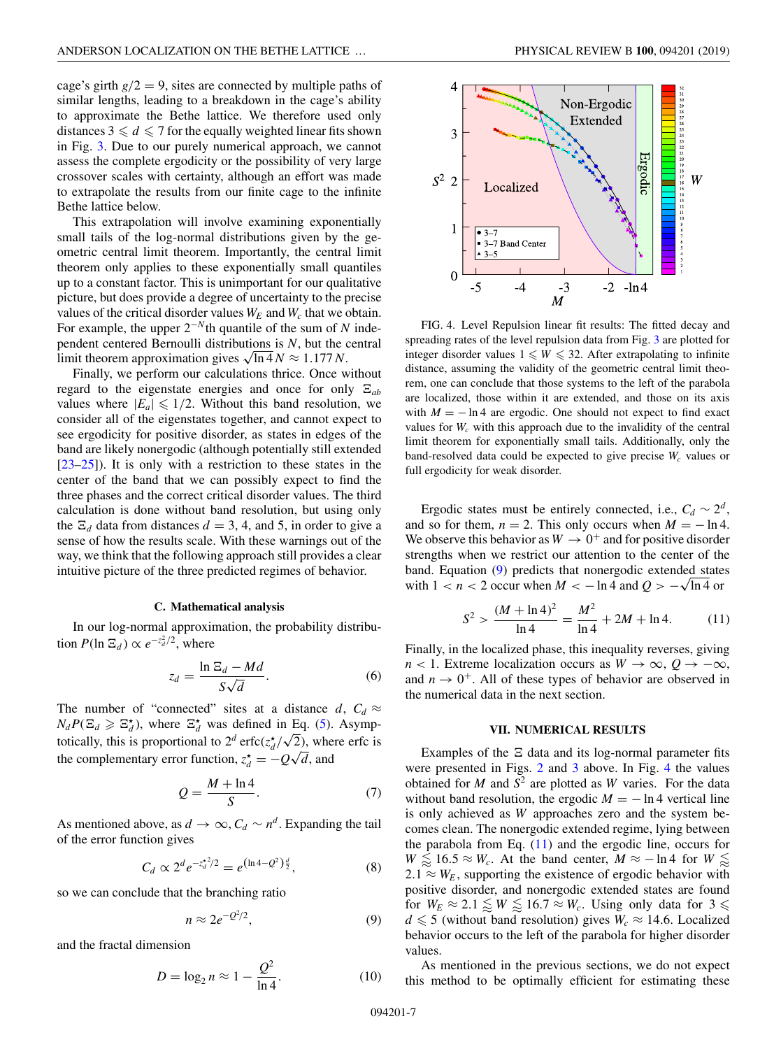<span id="page-6-0"></span>cage's girth  $g/2 = 9$ , sites are connected by multiple paths of similar lengths, leading to a breakdown in the cage's ability to approximate the Bethe lattice. We therefore used only distances  $3 \le d \le 7$  for the equally weighted linear fits shown in Fig. [3.](#page-5-0) Due to our purely numerical approach, we cannot assess the complete ergodicity or the possibility of very large crossover scales with certainty, although an effort was made to extrapolate the results from our finite cage to the infinite Bethe lattice below.

This extrapolation will involve examining exponentially small tails of the log-normal distributions given by the geometric central limit theorem. Importantly, the central limit theorem only applies to these exponentially small quantiles up to a constant factor. This is unimportant for our qualitative picture, but does provide a degree of uncertainty to the precise values of the critical disorder values  $W_E$  and  $W_c$  that we obtain. For example, the upper 2−*<sup>N</sup>*th quantile of the sum of *N* independent centered Bernoulli distributions is *N*, but the central limit theorem approximation gives  $\sqrt{\ln 4} N \approx 1.177 N$ .

Finally, we perform our calculations thrice. Once without regard to the eigenstate energies and once for only  $E_{ab}$ values where  $|E_a| \leq 1/2$ . Without this band resolution, we consider all of the eigenstates together, and cannot expect to see ergodicity for positive disorder, as states in edges of the band are likely nonergodic (although potentially still extended [\[23–25\]](#page-8-0)). It is only with a restriction to these states in the center of the band that we can possibly expect to find the three phases and the correct critical disorder values. The third calculation is done without band resolution, but using only the  $\Xi_d$  data from distances  $d = 3, 4$ , and 5, in order to give a sense of how the results scale. With these warnings out of the way, we think that the following approach still provides a clear intuitive picture of the three predicted regimes of behavior.

#### **C. Mathematical analysis**

In our log-normal approximation, the probability distribution  $P(\ln \Xi_d) \propto e^{-z_d^2/2}$ , where

$$
z_d = \frac{\ln \Xi_d - Md}{S\sqrt{d}}.\tag{6}
$$

The number of "connected" sites at a distance  $d$ ,  $C_d \approx$  $N_dP(\Xi_d \geq \Xi_d^{\star})$ , where  $\Xi_d^{\star}$  was defined in Eq. [\(5\)](#page-5-0). Asymptotically, this is proportional to  $2^d$  erfc( $z_d^{\star}/\sqrt{2}$ ), where erfc is the complementary error function,  $z_d^* = -Q\sqrt{d}$ , and

$$
Q = \frac{M + \ln 4}{S}.\tag{7}
$$

As mentioned above, as  $d \to \infty$ ,  $C_d \sim n^d$ . Expanding the tail of the error function gives

$$
C_d \propto 2^d e^{-z_d^2/2} = e^{(\ln 4 - Q^2)\frac{d}{2}}, \tag{8}
$$

so we can conclude that the branching ratio

$$
n \approx 2e^{-Q^2/2},\tag{9}
$$

and the fractal dimension

$$
D = \log_2 n \approx 1 - \frac{Q^2}{\ln 4}.\tag{10}
$$



FIG. 4. Level Repulsion linear fit results: The fitted decay and spreading rates of the level repulsion data from Fig. [3](#page-5-0) are plotted for integer disorder values  $1 \leq W \leq 32$ . After extrapolating to infinite distance, assuming the validity of the geometric central limit theorem, one can conclude that those systems to the left of the parabola are localized, those within it are extended, and those on its axis with  $M = -\ln 4$  are ergodic. One should not expect to find exact values for  $W_c$  with this approach due to the invalidity of the central limit theorem for exponentially small tails. Additionally, only the band-resolved data could be expected to give precise  $W_c$  values or full ergodicity for weak disorder.

Ergodic states must be entirely connected, i.e.,  $C_d \sim 2^d$ , and so for them,  $n = 2$ . This only occurs when  $M = -\ln 4$ . We observe this behavior as  $W \rightarrow 0^+$  and for positive disorder strengths when we restrict our attention to the center of the band. Equation (9) predicts that nonergodic extended states with  $1 < n < 2$  occur when  $M < -\ln 4$  and  $Q > -\sqrt{\ln 4}$  or

$$
S^{2} > \frac{(M + \ln 4)^{2}}{\ln 4} = \frac{M^{2}}{\ln 4} + 2M + \ln 4.
$$
 (11)

Finally, in the localized phase, this inequality reverses, giving  $n < 1$ . Extreme localization occurs as  $W \to \infty$ ,  $Q \to -\infty$ , and  $n \to 0^+$ . All of these types of behavior are observed in the numerical data in the next section.

#### **VII. NUMERICAL RESULTS**

Examples of the  $\Xi$  data and its log-normal parameter fits were presented in Figs. [2](#page-5-0) and [3](#page-5-0) above. In Fig. 4 the values obtained for  $M$  and  $S^2$  are plotted as  $W$  varies. For the data without band resolution, the ergodic  $M = -\ln 4$  vertical line is only achieved as *W* approaches zero and the system becomes clean. The nonergodic extended regime, lying between the parabola from Eq.  $(11)$  and the ergodic line, occurs for  $W \le 16.5 \approx W_c$ . At the band center,  $M \approx -\ln 4$  for  $W \le 16.5$  $2.1 \approx W_E$ , supporting the existence of ergodic behavior with positive disorder, and nonergodic extended states are found for  $W_E \approx 2.1 \lessapprox W \lessapprox 16.7 \approx W_c$ . Using only data for  $3 \lessapprox$  $d \leq 5$  (without band resolution) gives  $W_c \approx 14.6$ . Localized behavior occurs to the left of the parabola for higher disorder values.

As mentioned in the previous sections, we do not expect this method to be optimally efficient for estimating these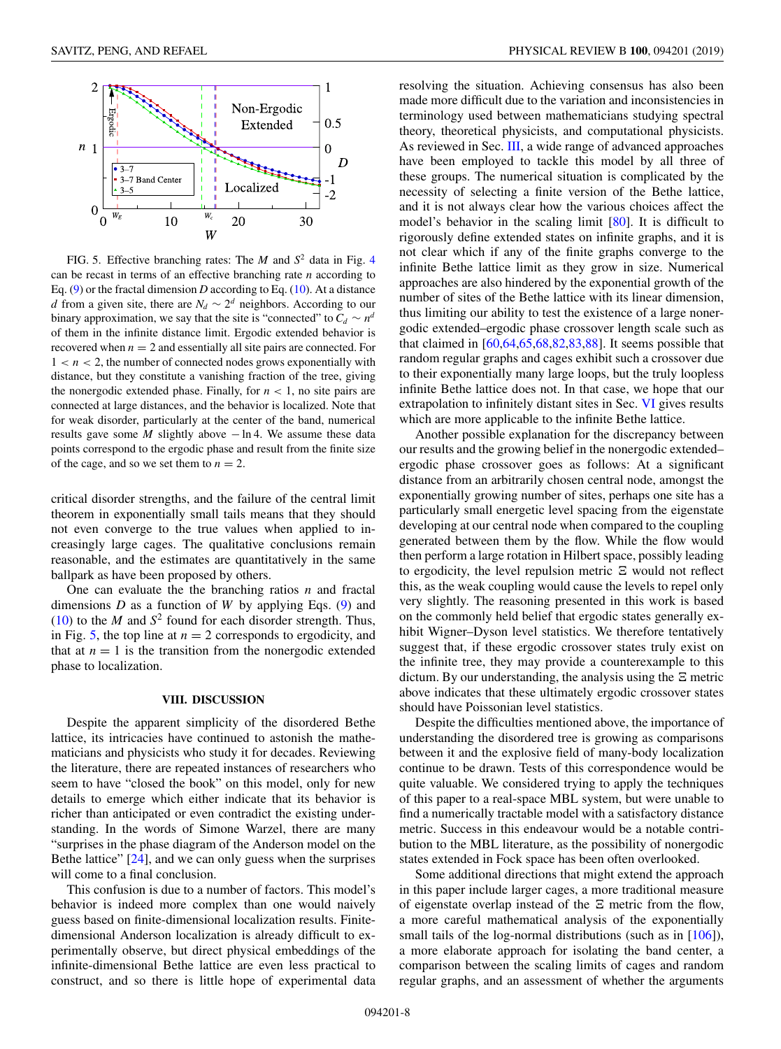<span id="page-7-0"></span>

FIG. 5. Effective branching rates: The  $M$  and  $S^2$  data in Fig. [4](#page-6-0) can be recast in terms of an effective branching rate *n* according to Eq.  $(9)$  or the fractal dimension *D* according to Eq.  $(10)$ . At a distance *d* from a given site, there are  $N_d \sim 2^d$  neighbors. According to our binary approximation, we say that the site is "connected" to  $C_d \sim n^d$ of them in the infinite distance limit. Ergodic extended behavior is recovered when  $n = 2$  and essentially all site pairs are connected. For  $1 < n < 2$ , the number of connected nodes grows exponentially with distance, but they constitute a vanishing fraction of the tree, giving the nonergodic extended phase. Finally, for  $n < 1$ , no site pairs are connected at large distances, and the behavior is localized. Note that for weak disorder, particularly at the center of the band, numerical results gave some *M* slightly above − ln 4. We assume these data points correspond to the ergodic phase and result from the finite size of the cage, and so we set them to  $n = 2$ .

critical disorder strengths, and the failure of the central limit theorem in exponentially small tails means that they should not even converge to the true values when applied to increasingly large cages. The qualitative conclusions remain reasonable, and the estimates are quantitatively in the same ballpark as have been proposed by others.

One can evaluate the the branching ratios *n* and fractal dimensions *D* as a function of *W* by applying Eqs. [\(9\)](#page-6-0) and [\(10\)](#page-6-0) to the *M* and  $S^2$  found for each disorder strength. Thus, in Fig. 5, the top line at  $n = 2$  corresponds to ergodicity, and that at  $n = 1$  is the transition from the nonergodic extended phase to localization.

## **VIII. DISCUSSION**

Despite the apparent simplicity of the disordered Bethe lattice, its intricacies have continued to astonish the mathematicians and physicists who study it for decades. Reviewing the literature, there are repeated instances of researchers who seem to have "closed the book" on this model, only for new details to emerge which either indicate that its behavior is richer than anticipated or even contradict the existing understanding. In the words of Simone Warzel, there are many "surprises in the phase diagram of the Anderson model on the Bethe lattice" [\[24\]](#page-8-0), and we can only guess when the surprises will come to a final conclusion.

This confusion is due to a number of factors. This model's behavior is indeed more complex than one would naively guess based on finite-dimensional localization results. Finitedimensional Anderson localization is already difficult to experimentally observe, but direct physical embeddings of the infinite-dimensional Bethe lattice are even less practical to construct, and so there is little hope of experimental data

resolving the situation. Achieving consensus has also been made more difficult due to the variation and inconsistencies in terminology used between mathematicians studying spectral theory, theoretical physicists, and computational physicists. As reviewed in Sec. [III,](#page-2-0) a wide range of advanced approaches have been employed to tackle this model by all three of these groups. The numerical situation is complicated by the necessity of selecting a finite version of the Bethe lattice, and it is not always clear how the various choices affect the model's behavior in the scaling limit [\[80\]](#page-9-0). It is difficult to rigorously define extended states on infinite graphs, and it is not clear which if any of the finite graphs converge to the infinite Bethe lattice limit as they grow in size. Numerical approaches are also hindered by the exponential growth of the number of sites of the Bethe lattice with its linear dimension, thus limiting our ability to test the existence of a large nonergodic extended–ergodic phase crossover length scale such as that claimed in [\[60,64,65,68,82,83,88\]](#page-9-0). It seems possible that random regular graphs and cages exhibit such a crossover due to their exponentially many large loops, but the truly loopless infinite Bethe lattice does not. In that case, we hope that our extrapolation to infinitely distant sites in Sec. [VI](#page-4-0) gives results which are more applicable to the infinite Bethe lattice.

Another possible explanation for the discrepancy between our results and the growing belief in the nonergodic extended– ergodic phase crossover goes as follows: At a significant distance from an arbitrarily chosen central node, amongst the exponentially growing number of sites, perhaps one site has a particularly small energetic level spacing from the eigenstate developing at our central node when compared to the coupling generated between them by the flow. While the flow would then perform a large rotation in Hilbert space, possibly leading to ergodicity, the level repulsion metric  $\Xi$  would not reflect this, as the weak coupling would cause the levels to repel only very slightly. The reasoning presented in this work is based on the commonly held belief that ergodic states generally exhibit Wigner–Dyson level statistics. We therefore tentatively suggest that, if these ergodic crossover states truly exist on the infinite tree, they may provide a counterexample to this dictum. By our understanding, the analysis using the  $\Xi$  metric above indicates that these ultimately ergodic crossover states should have Poissonian level statistics.

Despite the difficulties mentioned above, the importance of understanding the disordered tree is growing as comparisons between it and the explosive field of many-body localization continue to be drawn. Tests of this correspondence would be quite valuable. We considered trying to apply the techniques of this paper to a real-space MBL system, but were unable to find a numerically tractable model with a satisfactory distance metric. Success in this endeavour would be a notable contribution to the MBL literature, as the possibility of nonergodic states extended in Fock space has been often overlooked.

Some additional directions that might extend the approach in this paper include larger cages, a more traditional measure of eigenstate overlap instead of the  $\Xi$  metric from the flow, a more careful mathematical analysis of the exponentially small tails of the log-normal distributions (such as in [\[106\]](#page-10-0)), a more elaborate approach for isolating the band center, a comparison between the scaling limits of cages and random regular graphs, and an assessment of whether the arguments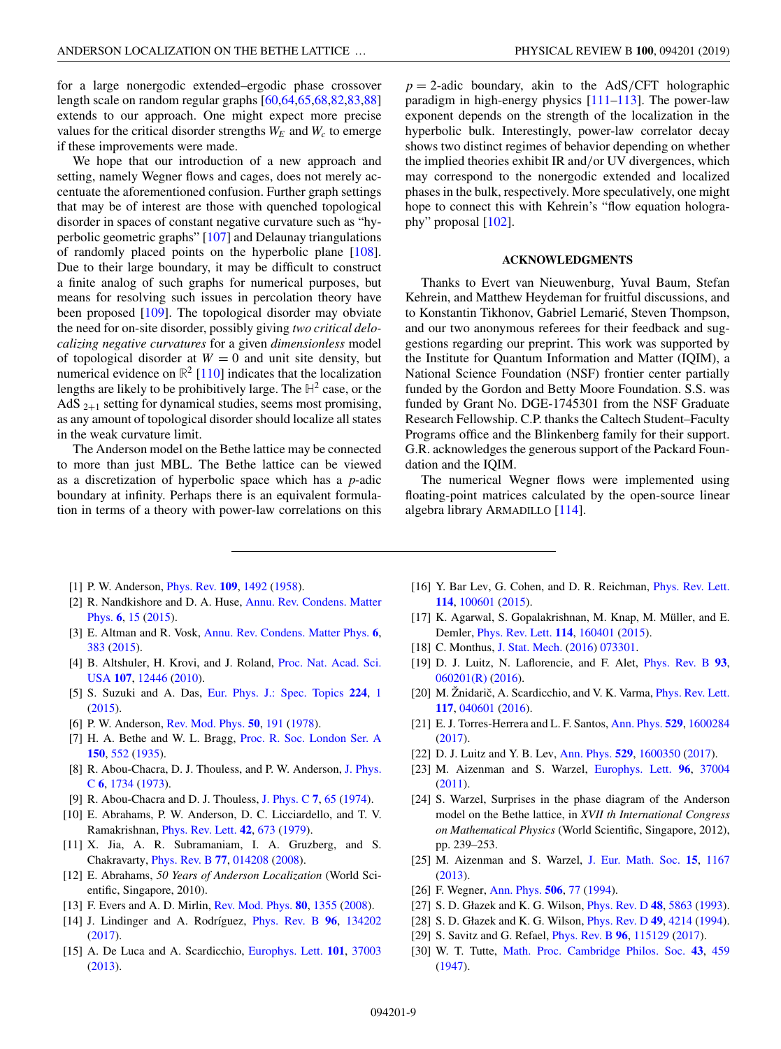<span id="page-8-0"></span>for a large nonergodic extended–ergodic phase crossover length scale on random regular graphs [\[60,64,65,68,82,83,88\]](#page-9-0) extends to our approach. One might expect more precise values for the critical disorder strengths  $W_E$  and  $W_c$  to emerge if these improvements were made.

We hope that our introduction of a new approach and setting, namely Wegner flows and cages, does not merely accentuate the aforementioned confusion. Further graph settings that may be of interest are those with quenched topological disorder in spaces of constant negative curvature such as "hyperbolic geometric graphs" [\[107\]](#page-10-0) and Delaunay triangulations of randomly placed points on the hyperbolic plane [\[108\]](#page-10-0). Due to their large boundary, it may be difficult to construct a finite analog of such graphs for numerical purposes, but means for resolving such issues in percolation theory have been proposed [\[109\]](#page-10-0). The topological disorder may obviate the need for on-site disorder, possibly giving *two critical delocalizing negative curvatures* for a given *dimensionless* model of topological disorder at  $W = 0$  and unit site density, but numerical evidence on  $\mathbb{R}^2$  [\[110\]](#page-10-0) indicates that the localization lengths are likely to be prohibitively large. The  $H^2$  case, or the AdS  $_{2+1}$  setting for dynamical studies, seems most promising, as any amount of topological disorder should localize all states in the weak curvature limit.

The Anderson model on the Bethe lattice may be connected to more than just MBL. The Bethe lattice can be viewed as a discretization of hyperbolic space which has a *p*-adic boundary at infinity. Perhaps there is an equivalent formulation in terms of a theory with power-law correlations on this

 $p = 2$ -adic boundary, akin to the AdS/CFT holographic paradigm in high-energy physics [\[111–113\]](#page-10-0). The power-law exponent depends on the strength of the localization in the hyperbolic bulk. Interestingly, power-law correlator decay shows two distinct regimes of behavior depending on whether the implied theories exhibit IR and/or UV divergences, which may correspond to the nonergodic extended and localized phases in the bulk, respectively. More speculatively, one might hope to connect this with Kehrein's "flow equation holography" proposal [\[102\]](#page-9-0).

### **ACKNOWLEDGMENTS**

Thanks to Evert van Nieuwenburg, Yuval Baum, Stefan Kehrein, and Matthew Heydeman for fruitful discussions, and to Konstantin Tikhonov, Gabriel Lemarié, Steven Thompson, and our two anonymous referees for their feedback and suggestions regarding our preprint. This work was supported by the Institute for Quantum Information and Matter (IQIM), a National Science Foundation (NSF) frontier center partially funded by the Gordon and Betty Moore Foundation. S.S. was funded by Grant No. DGE-1745301 from the NSF Graduate Research Fellowship. C.P. thanks the Caltech Student–Faculty Programs office and the Blinkenberg family for their support. G.R. acknowledges the generous support of the Packard Foundation and the IQIM.

The numerical Wegner flows were implemented using floating-point matrices calculated by the open-source linear algebra library ARMADILLO [\[114\]](#page-10-0).

- [1] P. W. Anderson, [Phys. Rev.](https://doi.org/10.1103/PhysRev.109.1492) **[109](https://doi.org/10.1103/PhysRev.109.1492)**, [1492](https://doi.org/10.1103/PhysRev.109.1492) [\(1958\)](https://doi.org/10.1103/PhysRev.109.1492).
- [2] [R. Nandkishore and D. A. Huse,](https://doi.org/10.1146/annurev-conmatphys-031214-014726) Annu. Rev. Condens. Matter Phys. **[6](https://doi.org/10.1146/annurev-conmatphys-031214-014726)**, [15](https://doi.org/10.1146/annurev-conmatphys-031214-014726) [\(2015\)](https://doi.org/10.1146/annurev-conmatphys-031214-014726).
- [3] E. Altman and R. Vosk, [Annu. Rev. Condens. Matter Phys.](https://doi.org/10.1146/annurev-conmatphys-031214-014701) **[6](https://doi.org/10.1146/annurev-conmatphys-031214-014701)**, [383](https://doi.org/10.1146/annurev-conmatphys-031214-014701) [\(2015\)](https://doi.org/10.1146/annurev-conmatphys-031214-014701).
- [4] [B. Altshuler, H. Krovi, and J. Roland,](https://doi.org/10.1073/pnas.1002116107) Proc. Nat. Acad. Sci. USA **[107](https://doi.org/10.1073/pnas.1002116107)**, [12446](https://doi.org/10.1073/pnas.1002116107) [\(2010\)](https://doi.org/10.1073/pnas.1002116107).
- [5] S. Suzuki and A. Das, [Eur. Phys. J.: Spec. Topics](https://doi.org/10.1140/epjst/e2015-02336-2) **[224](https://doi.org/10.1140/epjst/e2015-02336-2)**, [1](https://doi.org/10.1140/epjst/e2015-02336-2) [\(2015\)](https://doi.org/10.1140/epjst/e2015-02336-2).
- [6] P. W. Anderson, [Rev. Mod. Phys.](https://doi.org/10.1103/RevModPhys.50.191) **[50](https://doi.org/10.1103/RevModPhys.50.191)**, [191](https://doi.org/10.1103/RevModPhys.50.191) [\(1978\)](https://doi.org/10.1103/RevModPhys.50.191).
- [7] H. A. Bethe and W. L. Bragg, [Proc. R. Soc. London Ser. A](https://doi.org/10.1098/rspa.1935.0122) **[150](https://doi.org/10.1098/rspa.1935.0122)**, [552](https://doi.org/10.1098/rspa.1935.0122) [\(1935\)](https://doi.org/10.1098/rspa.1935.0122).
- [8] [R. Abou-Chacra, D. J. Thouless, and P. W. Anderson,](https://doi.org/10.1088/0022-3719/6/10/009) J. Phys. C **[6](https://doi.org/10.1088/0022-3719/6/10/009)**, [1734](https://doi.org/10.1088/0022-3719/6/10/009) [\(1973\)](https://doi.org/10.1088/0022-3719/6/10/009).
- [9] R. Abou-Chacra and D. J. Thouless, [J. Phys. C](https://doi.org/10.1088/0022-3719/7/1/015) **[7](https://doi.org/10.1088/0022-3719/7/1/015)**, [65](https://doi.org/10.1088/0022-3719/7/1/015) [\(1974\)](https://doi.org/10.1088/0022-3719/7/1/015).
- [10] E. Abrahams, P. W. Anderson, D. C. Licciardello, and T. V. Ramakrishnan, [Phys. Rev. Lett.](https://doi.org/10.1103/PhysRevLett.42.673) **[42](https://doi.org/10.1103/PhysRevLett.42.673)**, [673](https://doi.org/10.1103/PhysRevLett.42.673) [\(1979\)](https://doi.org/10.1103/PhysRevLett.42.673).
- [11] X. Jia, A. R. Subramaniam, I. A. Gruzberg, and S. Chakravarty, [Phys. Rev. B](https://doi.org/10.1103/PhysRevB.77.014208) **[77](https://doi.org/10.1103/PhysRevB.77.014208)**, [014208](https://doi.org/10.1103/PhysRevB.77.014208) [\(2008\)](https://doi.org/10.1103/PhysRevB.77.014208).
- [12] E. Abrahams, *50 Years of Anderson Localization* (World Scientific, Singapore, 2010).
- [13] F. Evers and A. D. Mirlin, [Rev. Mod. Phys.](https://doi.org/10.1103/RevModPhys.80.1355) **[80](https://doi.org/10.1103/RevModPhys.80.1355)**, [1355](https://doi.org/10.1103/RevModPhys.80.1355) [\(2008\)](https://doi.org/10.1103/RevModPhys.80.1355).
- [14] J. Lindinger and A. Rodríguez, [Phys. Rev. B](https://doi.org/10.1103/PhysRevB.96.134202) **[96](https://doi.org/10.1103/PhysRevB.96.134202)**, [134202](https://doi.org/10.1103/PhysRevB.96.134202) [\(2017\)](https://doi.org/10.1103/PhysRevB.96.134202).
- [15] A. De Luca and A. Scardicchio, [Europhys. Lett.](https://doi.org/10.1209/0295-5075/101/37003) **[101](https://doi.org/10.1209/0295-5075/101/37003)**, [37003](https://doi.org/10.1209/0295-5075/101/37003) [\(2013\)](https://doi.org/10.1209/0295-5075/101/37003).
- [16] Y. Bar Lev, G. Cohen, and D. R. Reichman, *[Phys. Rev. Lett.](https://doi.org/10.1103/PhysRevLett.114.100601)* **[114](https://doi.org/10.1103/PhysRevLett.114.100601)**, [100601](https://doi.org/10.1103/PhysRevLett.114.100601) [\(2015\)](https://doi.org/10.1103/PhysRevLett.114.100601).
- [17] K. Agarwal, S. Gopalakrishnan, M. Knap, M. Müller, and E. Demler, [Phys. Rev. Lett.](https://doi.org/10.1103/PhysRevLett.114.160401) **[114](https://doi.org/10.1103/PhysRevLett.114.160401)**, [160401](https://doi.org/10.1103/PhysRevLett.114.160401) [\(2015\)](https://doi.org/10.1103/PhysRevLett.114.160401).
- [18] C. Monthus, [J. Stat. Mech.](https://doi.org/10.1088/1742-5468/2016/07/073301) [\(2016\)](https://doi.org/10.1088/1742-5468/2016/07/073301) [073301.](https://doi.org/10.1088/1742-5468/2016/07/073301)
- [19] D. J. Luitz, N. Laflorencie, and F. Alet, [Phys. Rev. B](https://doi.org/10.1103/PhysRevB.93.060201) **[93](https://doi.org/10.1103/PhysRevB.93.060201)**, [060201\(R\)](https://doi.org/10.1103/PhysRevB.93.060201) [\(2016\)](https://doi.org/10.1103/PhysRevB.93.060201).
- [20] M. Žnidarič, A. Scardicchio, and V. K. Varma, *[Phys. Rev. Lett.](https://doi.org/10.1103/PhysRevLett.117.040601)* **[117](https://doi.org/10.1103/PhysRevLett.117.040601)**, [040601](https://doi.org/10.1103/PhysRevLett.117.040601) [\(2016\)](https://doi.org/10.1103/PhysRevLett.117.040601).
- [21] E. J. Torres-Herrera and L. F. Santos, [Ann. Phys.](https://doi.org/10.1002/andp.201600284) **[529](https://doi.org/10.1002/andp.201600284)**, [1600284](https://doi.org/10.1002/andp.201600284) [\(2017\)](https://doi.org/10.1002/andp.201600284).
- [22] D. J. Luitz and Y. B. Lev, [Ann. Phys.](https://doi.org/10.1002/andp.201600350) **[529](https://doi.org/10.1002/andp.201600350)**, [1600350](https://doi.org/10.1002/andp.201600350) [\(2017\)](https://doi.org/10.1002/andp.201600350).
- [23] M. Aizenman and S. Warzel, [Europhys. Lett.](https://doi.org/10.1209/0295-5075/96/37004) **[96](https://doi.org/10.1209/0295-5075/96/37004)**, [37004](https://doi.org/10.1209/0295-5075/96/37004) [\(2011\)](https://doi.org/10.1209/0295-5075/96/37004).
- [24] S. Warzel, Surprises in the phase diagram of the Anderson model on the Bethe lattice, in *XVII th International Congress on Mathematical Physics* (World Scientific, Singapore, 2012), pp. 239–253.
- [25] M. Aizenman and S. Warzel, [J. Eur. Math. Soc.](https://doi.org/10.4171/JEMS/389) **[15](https://doi.org/10.4171/JEMS/389)**, [1167](https://doi.org/10.4171/JEMS/389) [\(2013\)](https://doi.org/10.4171/JEMS/389).
- [26] F. Wegner, [Ann. Phys.](https://doi.org/10.1002/andp.19945060203) **[506](https://doi.org/10.1002/andp.19945060203)**, [77](https://doi.org/10.1002/andp.19945060203) [\(1994\)](https://doi.org/10.1002/andp.19945060203).
- [27] S. D. Głazek and K. G. Wilson, [Phys. Rev. D](https://doi.org/10.1103/PhysRevD.48.5863) **[48](https://doi.org/10.1103/PhysRevD.48.5863)**, [5863](https://doi.org/10.1103/PhysRevD.48.5863) [\(1993\)](https://doi.org/10.1103/PhysRevD.48.5863).
- [28] S. D. Głazek and K. G. Wilson, [Phys. Rev. D](https://doi.org/10.1103/PhysRevD.49.4214) **[49](https://doi.org/10.1103/PhysRevD.49.4214)**, [4214](https://doi.org/10.1103/PhysRevD.49.4214) [\(1994\)](https://doi.org/10.1103/PhysRevD.49.4214).
	- [29] S. Savitz and G. Refael, [Phys. Rev. B](https://doi.org/10.1103/PhysRevB.96.115129) **[96](https://doi.org/10.1103/PhysRevB.96.115129)**, [115129](https://doi.org/10.1103/PhysRevB.96.115129) [\(2017\)](https://doi.org/10.1103/PhysRevB.96.115129).
	- [30] W. T. Tutte, [Math. Proc. Cambridge Philos. Soc.](https://doi.org/10.1017/S0305004100023720) **[43](https://doi.org/10.1017/S0305004100023720)**, [459](https://doi.org/10.1017/S0305004100023720) [\(1947\)](https://doi.org/10.1017/S0305004100023720).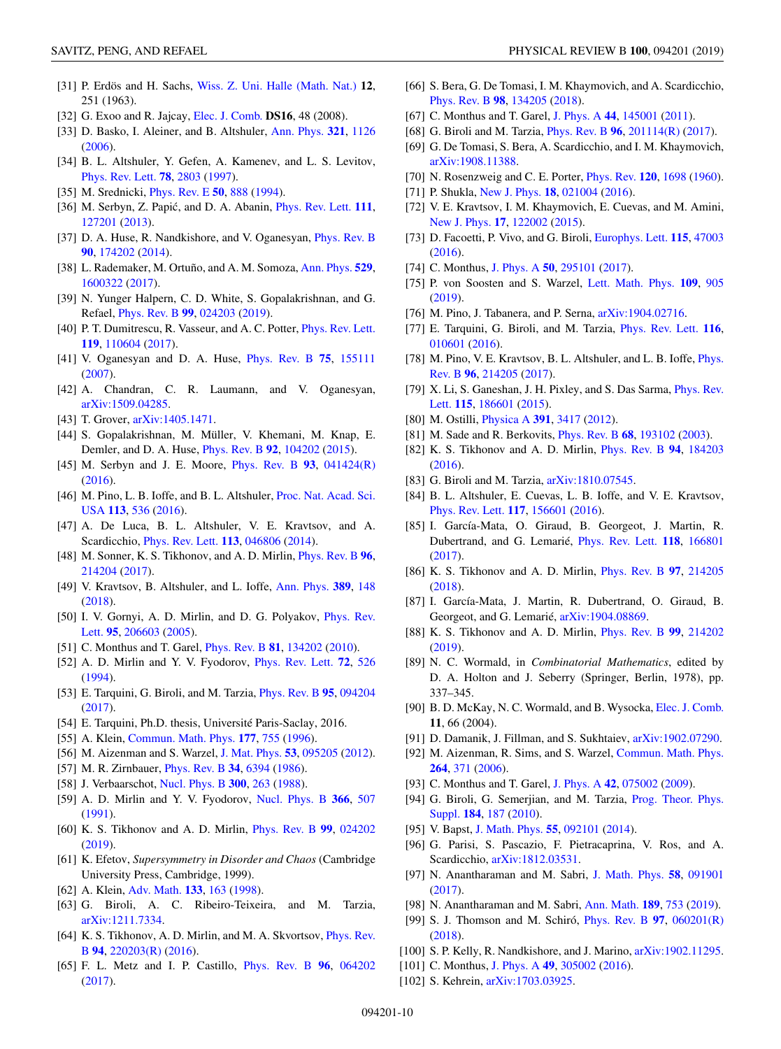- <span id="page-9-0"></span>[31] P. Erdös and H. Sachs, [Wiss. Z. Uni. Halle \(Math. Nat.\)](https://users.renyi.hu/~p_erdos/1963-16.pdf) **12**, 251 (1963).
- [32] G. Exoo and R. Jajcay, [Elec. J. Comb.](http://eudml.org/doc/130471) **DS16**, 48 (2008).
- [33] D. Basko, I. Aleiner, and B. Altshuler, [Ann. Phys.](https://doi.org/10.1016/j.aop.2005.11.014) **[321](https://doi.org/10.1016/j.aop.2005.11.014)**, [1126](https://doi.org/10.1016/j.aop.2005.11.014) [\(2006\)](https://doi.org/10.1016/j.aop.2005.11.014).
- [34] B. L. Altshuler, Y. Gefen, A. Kamenev, and L. S. Levitov, [Phys. Rev. Lett.](https://doi.org/10.1103/PhysRevLett.78.2803) **[78](https://doi.org/10.1103/PhysRevLett.78.2803)**, [2803](https://doi.org/10.1103/PhysRevLett.78.2803) [\(1997\)](https://doi.org/10.1103/PhysRevLett.78.2803).
- [35] M. Srednicki, [Phys. Rev. E](https://doi.org/10.1103/PhysRevE.50.888) **[50](https://doi.org/10.1103/PhysRevE.50.888)**, [888](https://doi.org/10.1103/PhysRevE.50.888) [\(1994\)](https://doi.org/10.1103/PhysRevE.50.888).
- [36] M. Serbyn, Z. Papić, and D. A. Abanin, *[Phys. Rev. Lett.](https://doi.org/10.1103/PhysRevLett.111.127201)* **[111](https://doi.org/10.1103/PhysRevLett.111.127201)**, [127201](https://doi.org/10.1103/PhysRevLett.111.127201) [\(2013\)](https://doi.org/10.1103/PhysRevLett.111.127201).
- [37] D. A. Huse, R. Nandkishore, and V. Oganesyan, *[Phys. Rev. B](https://doi.org/10.1103/PhysRevB.90.174202)* **[90](https://doi.org/10.1103/PhysRevB.90.174202)**, [174202](https://doi.org/10.1103/PhysRevB.90.174202) [\(2014\)](https://doi.org/10.1103/PhysRevB.90.174202).
- [38] L. Rademaker, M. Ortuño, and A. M. Somoza, [Ann. Phys.](https://doi.org/10.1002/andp.201600322) **[529](https://doi.org/10.1002/andp.201600322)**, [1600322](https://doi.org/10.1002/andp.201600322) [\(2017\)](https://doi.org/10.1002/andp.201600322).
- [39] N. Yunger Halpern, C. D. White, S. Gopalakrishnan, and G. Refael, [Phys. Rev. B](https://doi.org/10.1103/PhysRevB.99.024203) **[99](https://doi.org/10.1103/PhysRevB.99.024203)**, [024203](https://doi.org/10.1103/PhysRevB.99.024203) [\(2019\)](https://doi.org/10.1103/PhysRevB.99.024203).
- [40] P. T. Dumitrescu, R. Vasseur, and A. C. Potter, [Phys. Rev. Lett.](https://doi.org/10.1103/PhysRevLett.119.110604) **[119](https://doi.org/10.1103/PhysRevLett.119.110604)**, [110604](https://doi.org/10.1103/PhysRevLett.119.110604) [\(2017\)](https://doi.org/10.1103/PhysRevLett.119.110604).
- [41] V. Oganesyan and D. A. Huse, [Phys. Rev. B](https://doi.org/10.1103/PhysRevB.75.155111) **[75](https://doi.org/10.1103/PhysRevB.75.155111)**, [155111](https://doi.org/10.1103/PhysRevB.75.155111) [\(2007\)](https://doi.org/10.1103/PhysRevB.75.155111).
- [42] A. Chandran, C. R. Laumann, and V. Oganesyan, [arXiv:1509.04285.](http://arxiv.org/abs/arXiv:1509.04285)
- [43] T. Grover, [arXiv:1405.1471.](http://arxiv.org/abs/arXiv:1405.1471)
- [44] S. Gopalakrishnan, M. Müller, V. Khemani, M. Knap, E. Demler, and D. A. Huse, [Phys. Rev. B](https://doi.org/10.1103/PhysRevB.92.104202) **[92](https://doi.org/10.1103/PhysRevB.92.104202)**, [104202](https://doi.org/10.1103/PhysRevB.92.104202) [\(2015\)](https://doi.org/10.1103/PhysRevB.92.104202).
- [45] M. Serbyn and J. E. Moore, [Phys. Rev. B](https://doi.org/10.1103/PhysRevB.93.041424) **[93](https://doi.org/10.1103/PhysRevB.93.041424)**, [041424\(R\)](https://doi.org/10.1103/PhysRevB.93.041424) [\(2016\)](https://doi.org/10.1103/PhysRevB.93.041424).
- [46] [M. Pino, L. B. Ioffe, and B. L. Altshuler,](https://doi.org/10.1073/pnas.1520033113) Proc. Nat. Acad. Sci. USA **[113](https://doi.org/10.1073/pnas.1520033113)**, [536](https://doi.org/10.1073/pnas.1520033113) [\(2016\)](https://doi.org/10.1073/pnas.1520033113).
- [47] A. De Luca, B. L. Altshuler, V. E. Kravtsov, and A. Scardicchio, [Phys. Rev. Lett.](https://doi.org/10.1103/PhysRevLett.113.046806) **[113](https://doi.org/10.1103/PhysRevLett.113.046806)**, [046806](https://doi.org/10.1103/PhysRevLett.113.046806) [\(2014\)](https://doi.org/10.1103/PhysRevLett.113.046806).
- [48] M. Sonner, K. S. Tikhonov, and A. D. Mirlin, [Phys. Rev. B](https://doi.org/10.1103/PhysRevB.96.214204) **[96](https://doi.org/10.1103/PhysRevB.96.214204)**, [214204](https://doi.org/10.1103/PhysRevB.96.214204) [\(2017\)](https://doi.org/10.1103/PhysRevB.96.214204).
- [49] V. Kravtsov, B. Altshuler, and L. Ioffe, [Ann. Phys.](https://doi.org/10.1016/j.aop.2017.12.009) **[389](https://doi.org/10.1016/j.aop.2017.12.009)**, [148](https://doi.org/10.1016/j.aop.2017.12.009) [\(2018\)](https://doi.org/10.1016/j.aop.2017.12.009).
- [50] [I. V. Gornyi, A. D. Mirlin, and D. G. Polyakov,](https://doi.org/10.1103/PhysRevLett.95.206603) Phys. Rev. Lett. **[95](https://doi.org/10.1103/PhysRevLett.95.206603)**, [206603](https://doi.org/10.1103/PhysRevLett.95.206603) [\(2005\)](https://doi.org/10.1103/PhysRevLett.95.206603).
- [51] C. Monthus and T. Garel, [Phys. Rev. B](https://doi.org/10.1103/PhysRevB.81.134202) **[81](https://doi.org/10.1103/PhysRevB.81.134202)**, [134202](https://doi.org/10.1103/PhysRevB.81.134202) [\(2010\)](https://doi.org/10.1103/PhysRevB.81.134202).
- [52] A. D. Mirlin and Y. V. Fyodorov, [Phys. Rev. Lett.](https://doi.org/10.1103/PhysRevLett.72.526) **[72](https://doi.org/10.1103/PhysRevLett.72.526)**, [526](https://doi.org/10.1103/PhysRevLett.72.526) [\(1994\)](https://doi.org/10.1103/PhysRevLett.72.526).
- [53] E. Tarquini, G. Biroli, and M. Tarzia, [Phys. Rev. B](https://doi.org/10.1103/PhysRevB.95.094204) **[95](https://doi.org/10.1103/PhysRevB.95.094204)**, [094204](https://doi.org/10.1103/PhysRevB.95.094204) [\(2017\)](https://doi.org/10.1103/PhysRevB.95.094204).
- [54] E. Tarquini, Ph.D. thesis, Université Paris-Saclay, 2016.
- [55] A. Klein, [Commun. Math. Phys.](https://doi.org/10.1007/BF02099546) **[177](https://doi.org/10.1007/BF02099546)**, [755](https://doi.org/10.1007/BF02099546) [\(1996\)](https://doi.org/10.1007/BF02099546).
- [56] M. Aizenman and S. Warzel, [J. Mat. Phys.](https://doi.org/10.1063/1.4714617) **[53](https://doi.org/10.1063/1.4714617)**, [095205](https://doi.org/10.1063/1.4714617) [\(2012\)](https://doi.org/10.1063/1.4714617).
- [57] M. R. Zirnbauer, [Phys. Rev. B](https://doi.org/10.1103/PhysRevB.34.6394) **[34](https://doi.org/10.1103/PhysRevB.34.6394)**, [6394](https://doi.org/10.1103/PhysRevB.34.6394) [\(1986\)](https://doi.org/10.1103/PhysRevB.34.6394).
- [58] J. Verbaarschot, [Nucl. Phys. B](https://doi.org/10.1016/0550-3213(88)90598-6) **[300](https://doi.org/10.1016/0550-3213(88)90598-6)**, [263](https://doi.org/10.1016/0550-3213(88)90598-6) [\(1988\)](https://doi.org/10.1016/0550-3213(88)90598-6).
- [59] A. D. Mirlin and Y. V. Fyodorov, [Nucl. Phys. B](https://doi.org/10.1016/0550-3213(91)90028-V) **[366](https://doi.org/10.1016/0550-3213(91)90028-V)**, [507](https://doi.org/10.1016/0550-3213(91)90028-V) [\(1991\)](https://doi.org/10.1016/0550-3213(91)90028-V).
- [60] K. S. Tikhonov and A. D. Mirlin, [Phys. Rev. B](https://doi.org/10.1103/PhysRevB.99.024202) **[99](https://doi.org/10.1103/PhysRevB.99.024202)**, [024202](https://doi.org/10.1103/PhysRevB.99.024202) [\(2019\)](https://doi.org/10.1103/PhysRevB.99.024202).
- [61] K. Efetov, *Supersymmetry in Disorder and Chaos* (Cambridge University Press, Cambridge, 1999).
- [62] A. Klein, [Adv. Math.](https://doi.org/10.1006/aima.1997.1688) **[133](https://doi.org/10.1006/aima.1997.1688)**, [163](https://doi.org/10.1006/aima.1997.1688) [\(1998\)](https://doi.org/10.1006/aima.1997.1688).
- [63] G. Biroli, A. C. Ribeiro-Teixeira, and M. Tarzia, [arXiv:1211.7334.](http://arxiv.org/abs/arXiv:1211.7334)
- [64] [K. S. Tikhonov, A. D. Mirlin, and M. A. Skvortsov,](https://doi.org/10.1103/PhysRevB.94.220203) *Phys. Rev.* B **[94](https://doi.org/10.1103/PhysRevB.94.220203)**, [220203\(R\)](https://doi.org/10.1103/PhysRevB.94.220203) [\(2016\)](https://doi.org/10.1103/PhysRevB.94.220203).
- [65] F. L. Metz and I. P. Castillo, [Phys. Rev. B](https://doi.org/10.1103/PhysRevB.96.064202) **[96](https://doi.org/10.1103/PhysRevB.96.064202)**, [064202](https://doi.org/10.1103/PhysRevB.96.064202) [\(2017\)](https://doi.org/10.1103/PhysRevB.96.064202).
- [66] S. Bera, G. De Tomasi, I. M. Khaymovich, and A. Scardicchio, [Phys. Rev. B](https://doi.org/10.1103/PhysRevB.98.134205) **[98](https://doi.org/10.1103/PhysRevB.98.134205)**, [134205](https://doi.org/10.1103/PhysRevB.98.134205) [\(2018\)](https://doi.org/10.1103/PhysRevB.98.134205).
- [67] C. Monthus and T. Garel, [J. Phys. A](https://doi.org/10.1088/1751-8113/44/14/145001) **[44](https://doi.org/10.1088/1751-8113/44/14/145001)**, [145001](https://doi.org/10.1088/1751-8113/44/14/145001) [\(2011\)](https://doi.org/10.1088/1751-8113/44/14/145001).
- [68] G. Biroli and M. Tarzia, [Phys. Rev. B](https://doi.org/10.1103/PhysRevB.96.201114) **[96](https://doi.org/10.1103/PhysRevB.96.201114)**, [201114\(R\)](https://doi.org/10.1103/PhysRevB.96.201114) [\(2017\)](https://doi.org/10.1103/PhysRevB.96.201114).
- [69] G. De Tomasi, S. Bera, A. Scardicchio, and I. M. Khaymovich, [arXiv:1908.11388.](http://arxiv.org/abs/arXiv:1908.11388)
- [70] N. Rosenzweig and C. E. Porter, [Phys. Rev.](https://doi.org/10.1103/PhysRev.120.1698) **[120](https://doi.org/10.1103/PhysRev.120.1698)**, [1698](https://doi.org/10.1103/PhysRev.120.1698) [\(1960\)](https://doi.org/10.1103/PhysRev.120.1698).
- [71] P. Shukla, [New J. Phys.](https://doi.org/10.1088/1367-2630/18/2/021004) **[18](https://doi.org/10.1088/1367-2630/18/2/021004)**, [021004](https://doi.org/10.1088/1367-2630/18/2/021004) [\(2016\)](https://doi.org/10.1088/1367-2630/18/2/021004).
- [72] V. E. Kravtsov, I. M. Khaymovich, E. Cuevas, and M. Amini, [New J. Phys.](https://doi.org/10.1088/1367-2630/17/12/122002) **[17](https://doi.org/10.1088/1367-2630/17/12/122002)**, [122002](https://doi.org/10.1088/1367-2630/17/12/122002) [\(2015\)](https://doi.org/10.1088/1367-2630/17/12/122002).
- [73] D. Facoetti, P. Vivo, and G. Biroli, [Europhys. Lett.](https://doi.org/10.1209/0295-5075/115/47003) **[115](https://doi.org/10.1209/0295-5075/115/47003)**, [47003](https://doi.org/10.1209/0295-5075/115/47003) [\(2016\)](https://doi.org/10.1209/0295-5075/115/47003).
- [74] C. Monthus, [J. Phys. A](https://doi.org/10.1088/1751-8121/aa77e1) **[50](https://doi.org/10.1088/1751-8121/aa77e1)**, [295101](https://doi.org/10.1088/1751-8121/aa77e1) [\(2017\)](https://doi.org/10.1088/1751-8121/aa77e1).
- [75] P. von Soosten and S. Warzel, [Lett. Math. Phys.](https://doi.org/10.1007/s11005-018-1131-7) **[109](https://doi.org/10.1007/s11005-018-1131-7)**, [905](https://doi.org/10.1007/s11005-018-1131-7) [\(2019\)](https://doi.org/10.1007/s11005-018-1131-7).
- [76] M. Pino, J. Tabanera, and P. Serna, [arXiv:1904.02716.](http://arxiv.org/abs/arXiv:1904.02716)
- [77] E. Tarquini, G. Biroli, and M. Tarzia, [Phys. Rev. Lett.](https://doi.org/10.1103/PhysRevLett.116.010601) **[116](https://doi.org/10.1103/PhysRevLett.116.010601)**, [010601](https://doi.org/10.1103/PhysRevLett.116.010601) [\(2016\)](https://doi.org/10.1103/PhysRevLett.116.010601).
- [78] [M. Pino, V. E. Kravtsov, B. L. Altshuler, and L. B. Ioffe,](https://doi.org/10.1103/PhysRevB.96.214205) *Phys.* Rev. B **[96](https://doi.org/10.1103/PhysRevB.96.214205)**, [214205](https://doi.org/10.1103/PhysRevB.96.214205) [\(2017\)](https://doi.org/10.1103/PhysRevB.96.214205).
- [79] [X. Li, S. Ganeshan, J. H. Pixley, and S. Das Sarma,](https://doi.org/10.1103/PhysRevLett.115.186601) Phys. Rev. Lett. **[115](https://doi.org/10.1103/PhysRevLett.115.186601)**, [186601](https://doi.org/10.1103/PhysRevLett.115.186601) [\(2015\)](https://doi.org/10.1103/PhysRevLett.115.186601).
- [80] M. Ostilli, [Physica A](https://doi.org/10.1016/j.physa.2012.01.038) **[391](https://doi.org/10.1016/j.physa.2012.01.038)**, [3417](https://doi.org/10.1016/j.physa.2012.01.038) [\(2012\)](https://doi.org/10.1016/j.physa.2012.01.038).
- [81] M. Sade and R. Berkovits, [Phys. Rev. B](https://doi.org/10.1103/PhysRevB.68.193102) **[68](https://doi.org/10.1103/PhysRevB.68.193102)**, [193102](https://doi.org/10.1103/PhysRevB.68.193102) [\(2003\)](https://doi.org/10.1103/PhysRevB.68.193102).
- [82] K. S. Tikhonov and A. D. Mirlin, [Phys. Rev. B](https://doi.org/10.1103/PhysRevB.94.184203) **[94](https://doi.org/10.1103/PhysRevB.94.184203)**, [184203](https://doi.org/10.1103/PhysRevB.94.184203) [\(2016\)](https://doi.org/10.1103/PhysRevB.94.184203).
- [83] G. Biroli and M. Tarzia, [arXiv:1810.07545.](http://arxiv.org/abs/arXiv:1810.07545)
- [84] B. L. Altshuler, E. Cuevas, L. B. Ioffe, and V. E. Kravtsov, [Phys. Rev. Lett.](https://doi.org/10.1103/PhysRevLett.117.156601) **[117](https://doi.org/10.1103/PhysRevLett.117.156601)**, [156601](https://doi.org/10.1103/PhysRevLett.117.156601) [\(2016\)](https://doi.org/10.1103/PhysRevLett.117.156601).
- [85] I. García-Mata, O. Giraud, B. Georgeot, J. Martin, R. Dubertrand, and G. Lemarié, [Phys. Rev. Lett.](https://doi.org/10.1103/PhysRevLett.118.166801) **[118](https://doi.org/10.1103/PhysRevLett.118.166801)**, [166801](https://doi.org/10.1103/PhysRevLett.118.166801) [\(2017\)](https://doi.org/10.1103/PhysRevLett.118.166801).
- [86] K. S. Tikhonov and A. D. Mirlin, [Phys. Rev. B](https://doi.org/10.1103/PhysRevB.97.214205) **[97](https://doi.org/10.1103/PhysRevB.97.214205)**, [214205](https://doi.org/10.1103/PhysRevB.97.214205) [\(2018\)](https://doi.org/10.1103/PhysRevB.97.214205).
- [87] I. García-Mata, J. Martin, R. Dubertrand, O. Giraud, B. Georgeot, and G. Lemarié, [arXiv:1904.08869.](http://arxiv.org/abs/arXiv:1904.08869)
- [88] K. S. Tikhonov and A. D. Mirlin, [Phys. Rev. B](https://doi.org/10.1103/PhysRevB.99.214202) **[99](https://doi.org/10.1103/PhysRevB.99.214202)**, [214202](https://doi.org/10.1103/PhysRevB.99.214202) [\(2019\)](https://doi.org/10.1103/PhysRevB.99.214202).
- [89] N. C. Wormald, in *Combinatorial Mathematics*, edited by D. A. Holton and J. Seberry (Springer, Berlin, 1978), pp. 337–345.
- [90] B. D. McKay, N. C. Wormald, and B. Wysocka, *[Elec. J. Comb.](https://www.combinatorics.org/ojs/index.php/eljc/article/view/v11i1r66)* **11**, 66 (2004).
- [91] D. Damanik, J. Fillman, and S. Sukhtaiev, [arXiv:1902.07290.](http://arxiv.org/abs/arXiv:1902.07290)
- [92] M. Aizenman, R. Sims, and S. Warzel, [Commun. Math. Phys.](https://doi.org/10.1007/s00220-005-1468-5) **[264](https://doi.org/10.1007/s00220-005-1468-5)**, [371](https://doi.org/10.1007/s00220-005-1468-5) [\(2006\)](https://doi.org/10.1007/s00220-005-1468-5).
- [93] C. Monthus and T. Garel, [J. Phys. A](https://doi.org/10.1088/1751-8113/42/7/075002) **[42](https://doi.org/10.1088/1751-8113/42/7/075002)**, [075002](https://doi.org/10.1088/1751-8113/42/7/075002) [\(2009\)](https://doi.org/10.1088/1751-8113/42/7/075002).
- [94] [G. Biroli, G. Semerjian, and M. Tarzia,](https://doi.org/10.1143/PTPS.184.187) Prog. Theor. Phys. Suppl. **[184](https://doi.org/10.1143/PTPS.184.187)**, [187](https://doi.org/10.1143/PTPS.184.187) [\(2010\)](https://doi.org/10.1143/PTPS.184.187).
- [95] V. Bapst, [J. Math. Phys.](https://doi.org/10.1063/1.4894055) **[55](https://doi.org/10.1063/1.4894055)**, [092101](https://doi.org/10.1063/1.4894055) [\(2014\)](https://doi.org/10.1063/1.4894055).
- [96] G. Parisi, S. Pascazio, F. Pietracaprina, V. Ros, and A. Scardicchio, [arXiv:1812.03531.](http://arxiv.org/abs/arXiv:1812.03531)
- [97] N. Anantharaman and M. Sabri, [J. Math. Phys.](https://doi.org/10.1063/1.5000962) **[58](https://doi.org/10.1063/1.5000962)**, [091901](https://doi.org/10.1063/1.5000962) [\(2017\)](https://doi.org/10.1063/1.5000962).
- [98] N. Anantharaman and M. Sabri, [Ann. Math.](https://doi.org/10.4007/annals.2019.189.3.3) **[189](https://doi.org/10.4007/annals.2019.189.3.3)**, [753](https://doi.org/10.4007/annals.2019.189.3.3) [\(2019\)](https://doi.org/10.4007/annals.2019.189.3.3).
- [99] S. J. Thomson and M. Schiró, [Phys. Rev. B](https://doi.org/10.1103/PhysRevB.97.060201) **[97](https://doi.org/10.1103/PhysRevB.97.060201)**, [060201\(R\)](https://doi.org/10.1103/PhysRevB.97.060201) [\(2018\)](https://doi.org/10.1103/PhysRevB.97.060201).
- [100] S. P. Kelly, R. Nandkishore, and J. Marino, [arXiv:1902.11295.](http://arxiv.org/abs/arXiv:1902.11295)
- [101] C. Monthus, [J. Phys. A](https://doi.org/10.1088/1751-8113/49/30/305002) **[49](https://doi.org/10.1088/1751-8113/49/30/305002)**, [305002](https://doi.org/10.1088/1751-8113/49/30/305002) [\(2016\)](https://doi.org/10.1088/1751-8113/49/30/305002).
- [102] S. Kehrein, [arXiv:1703.03925.](http://arxiv.org/abs/arXiv:1703.03925)